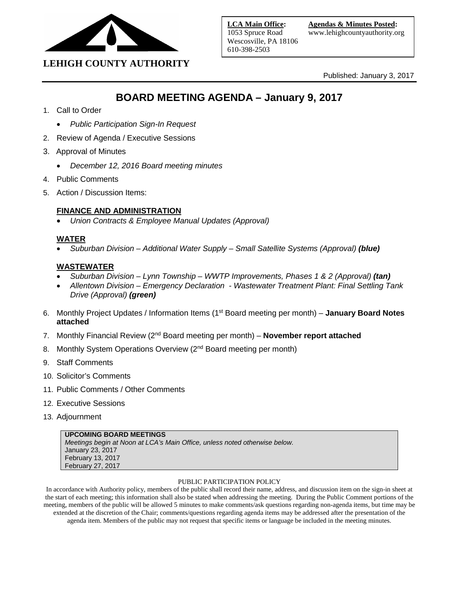

# **LEHIGH COUNTY AUTHORITY**

Published: January 3, 2017

# **BOARD MEETING AGENDA – January 9, 2017**

- 1. Call to Order
	- *Public Participation Sign-In Request*
- 2. Review of Agenda / Executive Sessions
- 3. Approval of Minutes
	- *December 12, 2016 Board meeting minutes*
- 4. Public Comments
- 5. Action / Discussion Items:

#### **FINANCE AND ADMINISTRATION**

• *Union Contracts & Employee Manual Updates (Approval)* 

#### **WATER**

• *Suburban Division – Additional Water Supply – Small Satellite Systems (Approval) (blue)*

#### **WASTEWATER**

- *Suburban Division – Lynn Township – WWTP Improvements, Phases 1 & 2 (Approval) (tan)*
- *Allentown Division – Emergency Declaration - Wastewater Treatment Plant: Final Settling Tank Drive (Approval) (green)*
- 6. Monthly Project Updates / Information Items (1st Board meeting per month) **January Board Notes attached**
- 7. Monthly Financial Review (2nd Board meeting per month) **November report attached**
- 8. Monthly System Operations Overview (2<sup>nd</sup> Board meeting per month)
- 9. Staff Comments
- 10. Solicitor's Comments
- 11. Public Comments / Other Comments
- 12. Executive Sessions
- 13. Adjournment

| UPCOMING BOARD MEETINGS                                                    |
|----------------------------------------------------------------------------|
| Meetings begin at Noon at LCA's Main Office, unless noted otherwise below. |
| January 23, 2017                                                           |
| February 13, 2017                                                          |
| February 27, 2017                                                          |

#### PUBLIC PARTICIPATION POLICY

In accordance with Authority policy, members of the public shall record their name, address, and discussion item on the sign-in sheet at the start of each meeting; this information shall also be stated when addressing the meeting. During the Public Comment portions of the meeting, members of the public will be allowed 5 minutes to make comments/ask questions regarding non-agenda items, but time may be extended at the discretion of the Chair; comments/questions regarding agenda items may be addressed after the presentation of the agenda item. Members of the public may not request that specific items or language be included in the meeting minutes.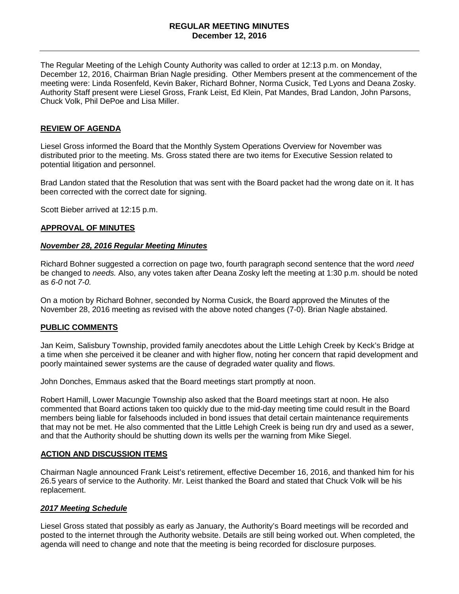#### **REGULAR MEETING MINUTES December 12, 2016**

The Regular Meeting of the Lehigh County Authority was called to order at 12:13 p.m. on Monday, December 12, 2016, Chairman Brian Nagle presiding. Other Members present at the commencement of the meeting were: Linda Rosenfeld, Kevin Baker, Richard Bohner, Norma Cusick, Ted Lyons and Deana Zosky. Authority Staff present were Liesel Gross, Frank Leist, Ed Klein, Pat Mandes, Brad Landon, John Parsons, Chuck Volk, Phil DePoe and Lisa Miller.

#### **REVIEW OF AGENDA**

Liesel Gross informed the Board that the Monthly System Operations Overview for November was distributed prior to the meeting. Ms. Gross stated there are two items for Executive Session related to potential litigation and personnel.

Brad Landon stated that the Resolution that was sent with the Board packet had the wrong date on it. It has been corrected with the correct date for signing.

Scott Bieber arrived at 12:15 p.m.

#### **APPROVAL OF MINUTES**

#### *November 28, 2016 Regular Meeting Minutes*

Richard Bohner suggested a correction on page two, fourth paragraph second sentence that the word *need*  be changed to *needs.* Also, any votes taken after Deana Zosky left the meeting at 1:30 p.m. should be noted as *6-0* not *7-0.* 

On a motion by Richard Bohner, seconded by Norma Cusick, the Board approved the Minutes of the November 28, 2016 meeting as revised with the above noted changes (7-0). Brian Nagle abstained.

#### **PUBLIC COMMENTS**

Jan Keim, Salisbury Township, provided family anecdotes about the Little Lehigh Creek by Keck's Bridge at a time when she perceived it be cleaner and with higher flow, noting her concern that rapid development and poorly maintained sewer systems are the cause of degraded water quality and flows.

John Donches, Emmaus asked that the Board meetings start promptly at noon.

Robert Hamill, Lower Macungie Township also asked that the Board meetings start at noon. He also commented that Board actions taken too quickly due to the mid-day meeting time could result in the Board members being liable for falsehoods included in bond issues that detail certain maintenance requirements that may not be met. He also commented that the Little Lehigh Creek is being run dry and used as a sewer, and that the Authority should be shutting down its wells per the warning from Mike Siegel.

#### **ACTION AND DISCUSSION ITEMS**

Chairman Nagle announced Frank Leist's retirement, effective December 16, 2016, and thanked him for his 26.5 years of service to the Authority. Mr. Leist thanked the Board and stated that Chuck Volk will be his replacement.

#### *2017 Meeting Schedule*

Liesel Gross stated that possibly as early as January, the Authority's Board meetings will be recorded and posted to the internet through the Authority website. Details are still being worked out. When completed, the agenda will need to change and note that the meeting is being recorded for disclosure purposes.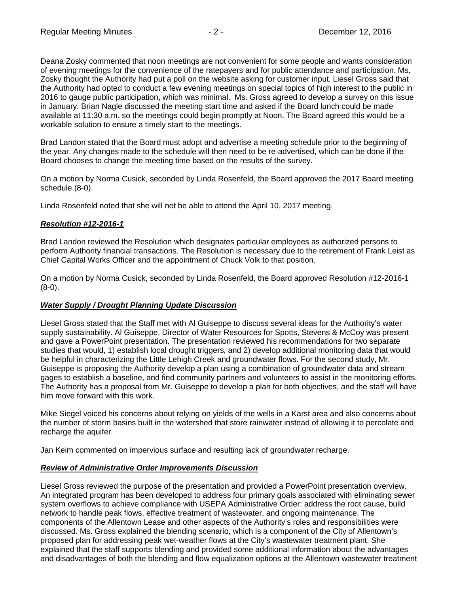Deana Zosky commented that noon meetings are not convenient for some people and wants consideration of evening meetings for the convenience of the ratepayers and for public attendance and participation. Ms. Zosky thought the Authority had put a poll on the website asking for customer input. Liesel Gross said that the Authority had opted to conduct a few evening meetings on special topics of high interest to the public in 2016 to gauge public participation, which was minimal. Ms. Gross agreed to develop a survey on this issue in January. Brian Nagle discussed the meeting start time and asked if the Board lunch could be made available at 11:30 a.m. so the meetings could begin promptly at Noon. The Board agreed this would be a workable solution to ensure a timely start to the meetings.

Brad Landon stated that the Board must adopt and advertise a meeting schedule prior to the beginning of the year. Any changes made to the schedule will then need to be re-advertised, which can be done if the Board chooses to change the meeting time based on the results of the survey.

On a motion by Norma Cusick, seconded by Linda Rosenfeld, the Board approved the 2017 Board meeting schedule (8-0).

Linda Rosenfeld noted that she will not be able to attend the April 10, 2017 meeting.

#### *Resolution #12-2016-1*

Brad Landon reviewed the Resolution which designates particular employees as authorized persons to perform Authority financial transactions. The Resolution is necessary due to the retirement of Frank Leist as Chief Capital Works Officer and the appointment of Chuck Volk to that position.

On a motion by Norma Cusick, seconded by Linda Rosenfeld, the Board approved Resolution #12-2016-1 (8-0).

#### *Water Supply / Drought Planning Update Discussion*

Liesel Gross stated that the Staff met with Al Guiseppe to discuss several ideas for the Authority's water supply sustainability. Al Guiseppe, Director of Water Resources for Spotts, Stevens & McCoy was present and gave a PowerPoint presentation. The presentation reviewed his recommendations for two separate studies that would, 1) establish local drought triggers, and 2) develop additional monitoring data that would be helpful in characterizing the Little Lehigh Creek and groundwater flows. For the second study, Mr. Guiseppe is proposing the Authority develop a plan using a combination of groundwater data and stream gages to establish a baseline, and find community partners and volunteers to assist in the monitoring efforts. The Authority has a proposal from Mr. Guiseppe to develop a plan for both objectives, and the staff will have him move forward with this work.

Mike Siegel voiced his concerns about relying on yields of the wells in a Karst area and also concerns about the number of storm basins built in the watershed that store rainwater instead of allowing it to percolate and recharge the aquifer.

Jan Keim commented on impervious surface and resulting lack of groundwater recharge.

#### *Review of Administrative Order Improvements Discussion*

Liesel Gross reviewed the purpose of the presentation and provided a PowerPoint presentation overview. An integrated program has been developed to address four primary goals associated with eliminating sewer system overflows to achieve compliance with USEPA Administrative Order: address the root cause, build network to handle peak flows, effective treatment of wastewater, and ongoing maintenance. The components of the Allentown Lease and other aspects of the Authority's roles and responsibilities were discussed. Ms. Gross explained the blending scenario, which is a component of the City of Allentown's proposed plan for addressing peak wet-weather flows at the City's wastewater treatment plant. She explained that the staff supports blending and provided some additional information about the advantages and disadvantages of both the blending and flow equalization options at the Allentown wastewater treatment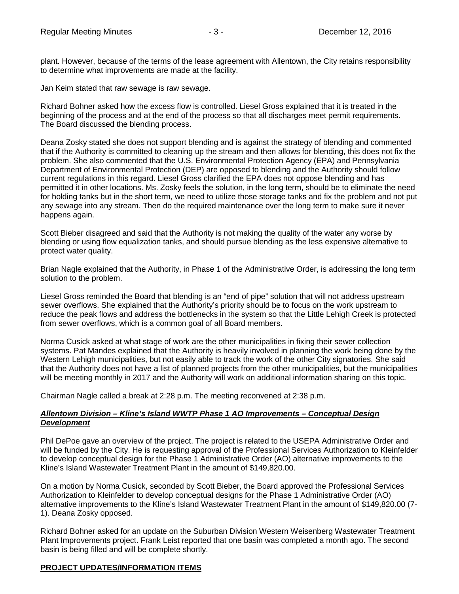plant. However, because of the terms of the lease agreement with Allentown, the City retains responsibility to determine what improvements are made at the facility.

Jan Keim stated that raw sewage is raw sewage.

Richard Bohner asked how the excess flow is controlled. Liesel Gross explained that it is treated in the beginning of the process and at the end of the process so that all discharges meet permit requirements. The Board discussed the blending process.

Deana Zosky stated she does not support blending and is against the strategy of blending and commented that if the Authority is committed to cleaning up the stream and then allows for blending, this does not fix the problem. She also commented that the U.S. Environmental Protection Agency (EPA) and Pennsylvania Department of Environmental Protection (DEP) are opposed to blending and the Authority should follow current regulations in this regard. Liesel Gross clarified the EPA does not oppose blending and has permitted it in other locations. Ms. Zosky feels the solution, in the long term, should be to eliminate the need for holding tanks but in the short term, we need to utilize those storage tanks and fix the problem and not put any sewage into any stream. Then do the required maintenance over the long term to make sure it never happens again.

Scott Bieber disagreed and said that the Authority is not making the quality of the water any worse by blending or using flow equalization tanks, and should pursue blending as the less expensive alternative to protect water quality.

Brian Nagle explained that the Authority, in Phase 1 of the Administrative Order, is addressing the long term solution to the problem.

Liesel Gross reminded the Board that blending is an "end of pipe" solution that will not address upstream sewer overflows. She explained that the Authority's priority should be to focus on the work upstream to reduce the peak flows and address the bottlenecks in the system so that the Little Lehigh Creek is protected from sewer overflows, which is a common goal of all Board members.

Norma Cusick asked at what stage of work are the other municipalities in fixing their sewer collection systems. Pat Mandes explained that the Authority is heavily involved in planning the work being done by the Western Lehigh municipalities, but not easily able to track the work of the other City signatories. She said that the Authority does not have a list of planned projects from the other municipalities, but the municipalities will be meeting monthly in 2017 and the Authority will work on additional information sharing on this topic.

Chairman Nagle called a break at 2:28 p.m. The meeting reconvened at 2:38 p.m.

# *Allentown Division – Kline's Island WWTP Phase 1 AO Improvements – Conceptual Design Development*

Phil DePoe gave an overview of the project. The project is related to the USEPA Administrative Order and will be funded by the City. He is requesting approval of the Professional Services Authorization to Kleinfelder to develop conceptual design for the Phase 1 Administrative Order (AO) alternative improvements to the Kline's Island Wastewater Treatment Plant in the amount of \$149,820.00.

On a motion by Norma Cusick, seconded by Scott Bieber, the Board approved the Professional Services Authorization to Kleinfelder to develop conceptual designs for the Phase 1 Administrative Order (AO) alternative improvements to the Kline's Island Wastewater Treatment Plant in the amount of \$149,820.00 (7- 1). Deana Zosky opposed.

Richard Bohner asked for an update on the Suburban Division Western Weisenberg Wastewater Treatment Plant Improvements project. Frank Leist reported that one basin was completed a month ago. The second basin is being filled and will be complete shortly.

# **PROJECT UPDATES/INFORMATION ITEMS**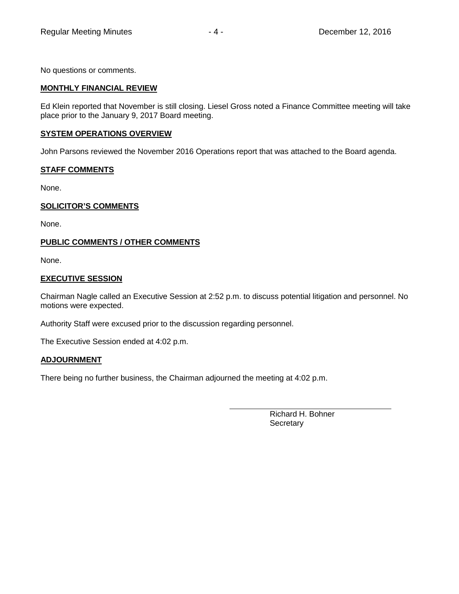No questions or comments.

## **MONTHLY FINANCIAL REVIEW**

Ed Klein reported that November is still closing. Liesel Gross noted a Finance Committee meeting will take place prior to the January 9, 2017 Board meeting.

#### **SYSTEM OPERATIONS OVERVIEW**

John Parsons reviewed the November 2016 Operations report that was attached to the Board agenda.

# **STAFF COMMENTS**

None.

## **SOLICITOR'S COMMENTS**

None.

## **PUBLIC COMMENTS / OTHER COMMENTS**

None.

## **EXECUTIVE SESSION**

Chairman Nagle called an Executive Session at 2:52 p.m. to discuss potential litigation and personnel. No motions were expected.

Authority Staff were excused prior to the discussion regarding personnel.

The Executive Session ended at 4:02 p.m.

#### **ADJOURNMENT**

There being no further business, the Chairman adjourned the meeting at 4:02 p.m.

Richard H. Bohner **Secretary**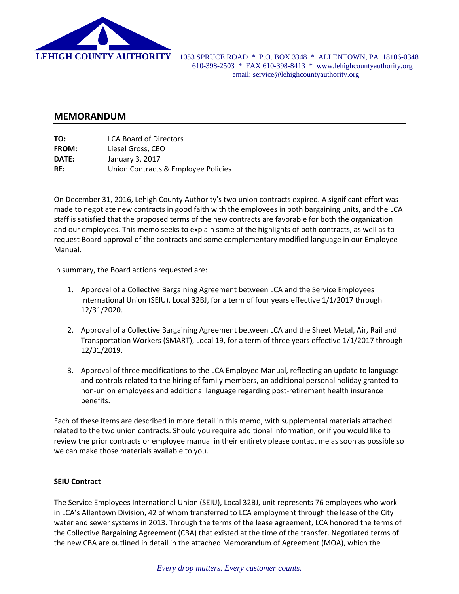

 **LEHIGH COUNTY AUTHORITY** 1053 SPRUCE ROAD \* P.O. BOX 3348 \* ALLENTOWN, PA 18106-0348 610-398-2503 \* FAX 610-398-8413 \* www.lehighcountyauthority.org email: service@lehighcountyauthority.org

# **MEMORANDUM**

| TO:          | <b>LCA Board of Directors</b>       |
|--------------|-------------------------------------|
| <b>FROM:</b> | Liesel Gross, CEO                   |
| DATE:        | January 3, 2017                     |
| RE:          | Union Contracts & Employee Policies |

On December 31, 2016, Lehigh County Authority's two union contracts expired. A significant effort was made to negotiate new contracts in good faith with the employees in both bargaining units, and the LCA staff is satisfied that the proposed terms of the new contracts are favorable for both the organization and our employees. This memo seeks to explain some of the highlights of both contracts, as well as to request Board approval of the contracts and some complementary modified language in our Employee Manual.

In summary, the Board actions requested are:

- 1. Approval of a Collective Bargaining Agreement between LCA and the Service Employees International Union (SEIU), Local 32BJ, for a term of four years effective 1/1/2017 through 12/31/2020.
- 2. Approval of a Collective Bargaining Agreement between LCA and the Sheet Metal, Air, Rail and Transportation Workers (SMART), Local 19, for a term of three years effective 1/1/2017 through 12/31/2019.
- 3. Approval of three modifications to the LCA Employee Manual, reflecting an update to language and controls related to the hiring of family members, an additional personal holiday granted to non‐union employees and additional language regarding post‐retirement health insurance benefits.

Each of these items are described in more detail in this memo, with supplemental materials attached related to the two union contracts. Should you require additional information, or if you would like to review the prior contracts or employee manual in their entirety please contact me as soon as possible so we can make those materials available to you.

#### **SEIU Contract**

The Service Employees International Union (SEIU), Local 32BJ, unit represents 76 employees who work in LCA's Allentown Division, 42 of whom transferred to LCA employment through the lease of the City water and sewer systems in 2013. Through the terms of the lease agreement, LCA honored the terms of the Collective Bargaining Agreement (CBA) that existed at the time of the transfer. Negotiated terms of the new CBA are outlined in detail in the attached Memorandum of Agreement (MOA), which the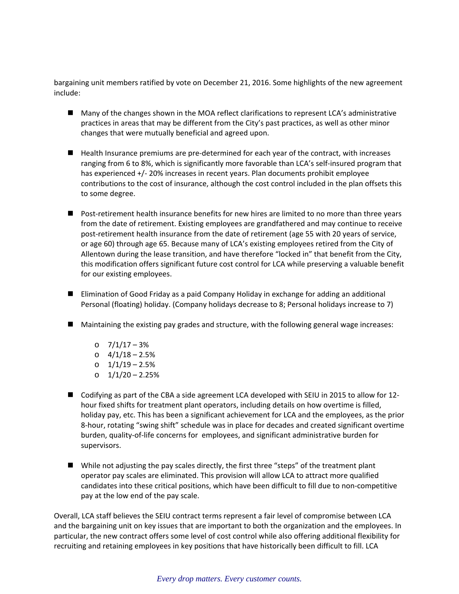bargaining unit members ratified by vote on December 21, 2016. Some highlights of the new agreement include:

- Many of the changes shown in the MOA reflect clarifications to represent LCA's administrative practices in areas that may be different from the City's past practices, as well as other minor changes that were mutually beneficial and agreed upon.
- Health Insurance premiums are pre-determined for each year of the contract, with increases ranging from 6 to 8%, which is significantly more favorable than LCA's self-insured program that has experienced +/- 20% increases in recent years. Plan documents prohibit employee contributions to the cost of insurance, although the cost control included in the plan offsets this to some degree.
- Post-retirement health insurance benefits for new hires are limited to no more than three years from the date of retirement. Existing employees are grandfathered and may continue to receive post-retirement health insurance from the date of retirement (age 55 with 20 years of service, or age 60) through age 65. Because many of LCA's existing employees retired from the City of Allentown during the lease transition, and have therefore "locked in" that benefit from the City, this modification offers significant future cost control for LCA while preserving a valuable benefit for our existing employees.
- Elimination of Good Friday as a paid Company Holiday in exchange for adding an additional Personal (floating) holiday. (Company holidays decrease to 8; Personal holidays increase to 7)
- Maintaining the existing pay grades and structure, with the following general wage increases:
	- o 7/1/17 3%
	- o 4/1/18 2.5%
	- o 1/1/19 2.5%
	- o 1/1/20 2.25%
- Codifying as part of the CBA a side agreement LCA developed with SEIU in 2015 to allow for 12hour fixed shifts for treatment plant operators, including details on how overtime is filled, holiday pay, etc. This has been a significant achievement for LCA and the employees, as the prior 8‐hour, rotating "swing shift" schedule was in place for decades and created significant overtime burden, quality‐of‐life concerns for employees, and significant administrative burden for supervisors.
- While not adjusting the pay scales directly, the first three "steps" of the treatment plant operator pay scales are eliminated. This provision will allow LCA to attract more qualified candidates into these critical positions, which have been difficult to fill due to non‐competitive pay at the low end of the pay scale.

Overall, LCA staff believes the SEIU contract terms represent a fair level of compromise between LCA and the bargaining unit on key issues that are important to both the organization and the employees. In particular, the new contract offers some level of cost control while also offering additional flexibility for recruiting and retaining employees in key positions that have historically been difficult to fill. LCA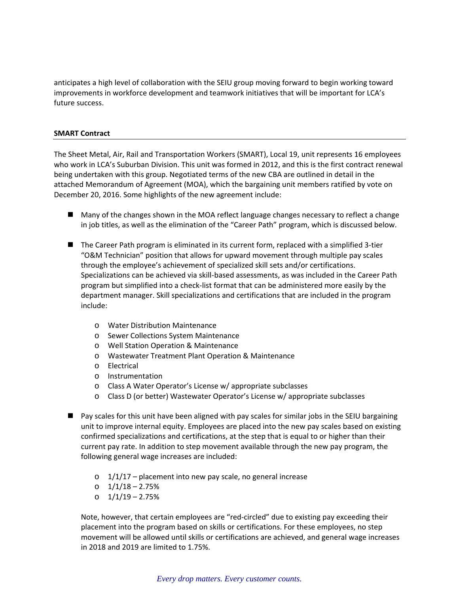anticipates a high level of collaboration with the SEIU group moving forward to begin working toward improvements in workforce development and teamwork initiatives that will be important for LCA's future success.

#### **SMART Contract**

The Sheet Metal, Air, Rail and Transportation Workers (SMART), Local 19, unit represents 16 employees who work in LCA's Suburban Division. This unit was formed in 2012, and this is the first contract renewal being undertaken with this group. Negotiated terms of the new CBA are outlined in detail in the attached Memorandum of Agreement (MOA), which the bargaining unit members ratified by vote on December 20, 2016. Some highlights of the new agreement include:

- Many of the changes shown in the MOA reflect language changes necessary to reflect a change in job titles, as well as the elimination of the "Career Path" program, which is discussed below.
- The Career Path program is eliminated in its current form, replaced with a simplified 3-tier "O&M Technician" position that allows for upward movement through multiple pay scales through the employee's achievement of specialized skill sets and/or certifications. Specializations can be achieved via skill‐based assessments, as was included in the Career Path program but simplified into a check‐list format that can be administered more easily by the department manager. Skill specializations and certifications that are included in the program include:
	- o Water Distribution Maintenance
	- o Sewer Collections System Maintenance
	- o Well Station Operation & Maintenance
	- o Wastewater Treatment Plant Operation & Maintenance
	- o Electrical
	- o Instrumentation
	- o Class A Water Operator's License w/ appropriate subclasses
	- o Class D (or better) Wastewater Operator's License w/ appropriate subclasses
- Pay scales for this unit have been aligned with pay scales for similar jobs in the SEIU bargaining unit to improve internal equity. Employees are placed into the new pay scales based on existing confirmed specializations and certifications, at the step that is equal to or higher than their current pay rate. In addition to step movement available through the new pay program, the following general wage increases are included:
	- $\circ$  1/1/17 placement into new pay scale, no general increase
	- o 1/1/18 2.75%
	- o 1/1/19 2.75%

Note, however, that certain employees are "red‐circled" due to existing pay exceeding their placement into the program based on skills or certifications. For these employees, no step movement will be allowed until skills or certifications are achieved, and general wage increases in 2018 and 2019 are limited to 1.75%.

#### *Every drop matters. Every customer counts.*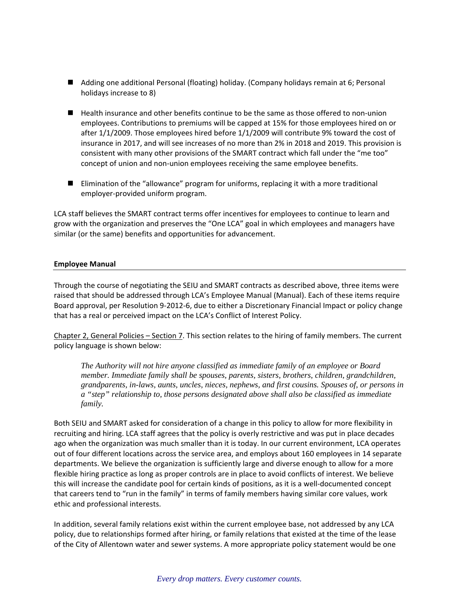- Adding one additional Personal (floating) holiday. (Company holidays remain at 6; Personal holidays increase to 8)
- Health insurance and other benefits continue to be the same as those offered to non-union employees. Contributions to premiums will be capped at 15% for those employees hired on or after 1/1/2009. Those employees hired before 1/1/2009 will contribute 9% toward the cost of insurance in 2017, and will see increases of no more than 2% in 2018 and 2019. This provision is consistent with many other provisions of the SMART contract which fall under the "me too" concept of union and non‐union employees receiving the same employee benefits.
- Elimination of the "allowance" program for uniforms, replacing it with a more traditional employer‐provided uniform program.

LCA staff believes the SMART contract terms offer incentives for employees to continue to learn and grow with the organization and preserves the "One LCA" goal in which employees and managers have similar (or the same) benefits and opportunities for advancement.

#### **Employee Manual**

Through the course of negotiating the SEIU and SMART contracts as described above, three items were raised that should be addressed through LCA's Employee Manual (Manual). Each of these items require Board approval, per Resolution 9‐2012‐6, due to either a Discretionary Financial Impact or policy change that has a real or perceived impact on the LCA's Conflict of Interest Policy.

Chapter 2, General Policies – Section 7. This section relates to the hiring of family members. The current policy language is shown below:

*The Authority will not hire anyone classified as immediate family of an employee or Board member. Immediate family shall be spouses, parents, sisters, brothers, children, grandchildren, grandparents, in-laws, aunts, uncles, nieces, nephews, and first cousins. Spouses of, or persons in a "step" relationship to, those persons designated above shall also be classified as immediate family.* 

Both SEIU and SMART asked for consideration of a change in this policy to allow for more flexibility in recruiting and hiring. LCA staff agrees that the policy is overly restrictive and was put in place decades ago when the organization was much smaller than it is today. In our current environment, LCA operates out of four different locations across the service area, and employs about 160 employees in 14 separate departments. We believe the organization is sufficiently large and diverse enough to allow for a more flexible hiring practice as long as proper controls are in place to avoid conflicts of interest. We believe this will increase the candidate pool for certain kinds of positions, as it is a well‐documented concept that careers tend to "run in the family" in terms of family members having similar core values, work ethic and professional interests.

In addition, several family relations exist within the current employee base, not addressed by any LCA policy, due to relationships formed after hiring, or family relations that existed at the time of the lease of the City of Allentown water and sewer systems. A more appropriate policy statement would be one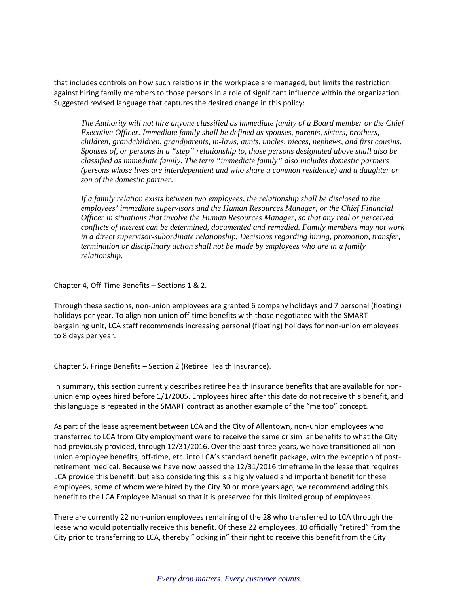that includes controls on how such relations in the workplace are managed, but limits the restriction against hiring family members to those persons in a role of significant influence within the organization. Suggested revised language that captures the desired change in this policy:

*The Authority will not hire anyone classified as immediate family of a Board member or the Chief Executive Officer. Immediate family shall be defined as spouses, parents, sisters, brothers, children, grandchildren, grandparents, in-laws, aunts, uncles, nieces, nephews, and first cousins. Spouses of, or persons in a "step" relationship to, those persons designated above shall also be classified as immediate family. The term "immediate family" also includes domestic partners (persons whose lives are interdependent and who share a common residence) and a daughter or son of the domestic partner.* 

*If a family relation exists between two employees, the relationship shall be disclosed to the employees' immediate supervisors and the Human Resources Manager, or the Chief Financial Officer in situations that involve the Human Resources Manager, so that any real or perceived conflicts of interest can be determined, documented and remedied. Family members may not work in a direct supervisor-subordinate relationship. Decisions regarding hiring, promotion, transfer, termination or disciplinary action shall not be made by employees who are in a family relationship.* 

#### Chapter 4, Off‐Time Benefits – Sections 1 & 2.

Through these sections, non‐union employees are granted 6 company holidays and 7 personal (floating) holidays per year. To align non-union off-time benefits with those negotiated with the SMART bargaining unit, LCA staff recommends increasing personal (floating) holidays for non-union employees to 8 days per year.

#### Chapter 5, Fringe Benefits – Section 2 (Retiree Health Insurance).

In summary, this section currently describes retiree health insurance benefits that are available for non‐ union employees hired before 1/1/2005. Employees hired after this date do not receive this benefit, and this language is repeated in the SMART contract as another example of the "me too" concept.

As part of the lease agreement between LCA and the City of Allentown, non-union employees who transferred to LCA from City employment were to receive the same or similar benefits to what the City had previously provided, through 12/31/2016. Over the past three years, we have transitioned all nonunion employee benefits, off-time, etc. into LCA's standard benefit package, with the exception of postretirement medical. Because we have now passed the 12/31/2016 timeframe in the lease that requires LCA provide this benefit, but also considering this is a highly valued and important benefit for these employees, some of whom were hired by the City 30 or more years ago, we recommend adding this benefit to the LCA Employee Manual so that it is preserved for this limited group of employees.

There are currently 22 non‐union employees remaining of the 28 who transferred to LCA through the lease who would potentially receive this benefit. Of these 22 employees, 10 officially "retired" from the City prior to transferring to LCA, thereby "locking in" their right to receive this benefit from the City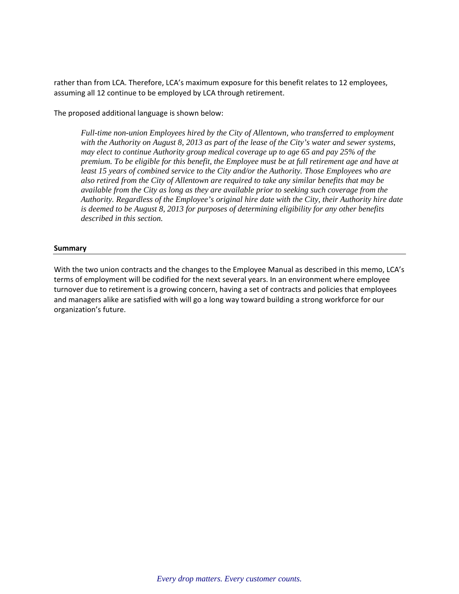rather than from LCA. Therefore, LCA's maximum exposure for this benefit relates to 12 employees, assuming all 12 continue to be employed by LCA through retirement.

The proposed additional language is shown below:

*Full-time non-union Employees hired by the City of Allentown, who transferred to employment with the Authority on August 8, 2013 as part of the lease of the City's water and sewer systems, may elect to continue Authority group medical coverage up to age 65 and pay 25% of the premium. To be eligible for this benefit, the Employee must be at full retirement age and have at least 15 years of combined service to the City and/or the Authority. Those Employees who are also retired from the City of Allentown are required to take any similar benefits that may be available from the City as long as they are available prior to seeking such coverage from the Authority. Regardless of the Employee's original hire date with the City, their Authority hire date is deemed to be August 8, 2013 for purposes of determining eligibility for any other benefits described in this section.* 

#### **Summary**

With the two union contracts and the changes to the Employee Manual as described in this memo, LCA's terms of employment will be codified for the next several years. In an environment where employee turnover due to retirement is a growing concern, having a set of contracts and policies that employees and managers alike are satisfied with will go a long way toward building a strong workforce for our organization's future.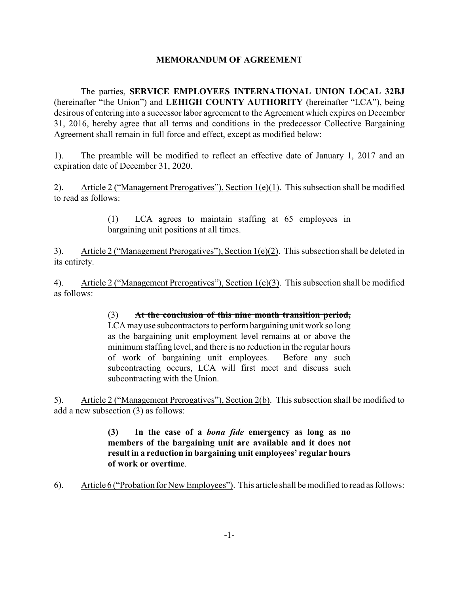# **MEMORANDUM OF AGREEMENT**

The parties, **SERVICE EMPLOYEES INTERNATIONAL UNION LOCAL 32BJ** (hereinafter "the Union") and **LEHIGH COUNTY AUTHORITY** (hereinafter "LCA"), being desirous of entering into a successor labor agreement to the Agreement which expires on December 31, 2016, hereby agree that all terms and conditions in the predecessor Collective Bargaining Agreement shall remain in full force and effect, except as modified below:

1). The preamble will be modified to reflect an effective date of January 1, 2017 and an expiration date of December 31, 2020.

2). Article 2 ("Management Prerogatives"), Section 1(e)(1). This subsection shall be modified to read as follows:

> (1) LCA agrees to maintain staffing at 65 employees in bargaining unit positions at all times.

3). Article 2 ("Management Prerogatives"), Section 1(e)(2). This subsection shall be deleted in its entirety.

4). Article 2 ("Management Prerogatives"), Section 1(e)(3). This subsection shall be modified as follows:

# (3) **At the conclusion of this nine month transition period,**

LCA mayuse subcontractors to perform bargaining unit work so long as the bargaining unit employment level remains at or above the minimum staffing level, and there is no reduction in the regular hours of work of bargaining unit employees. Before any such subcontracting occurs, LCA will first meet and discuss such subcontracting with the Union.

5). Article 2 ("Management Prerogatives"), Section 2(b). This subsection shall be modified to add a new subsection (3) as follows:

# **(3) In the case of a** *bona fide* **emergency as long as no members of the bargaining unit are available and it does not result in a reduction in bargaining unit employees' regular hours of work or overtime**.

6). Article 6 ("Probation for New Employees"). This article shall be modified to read as follows: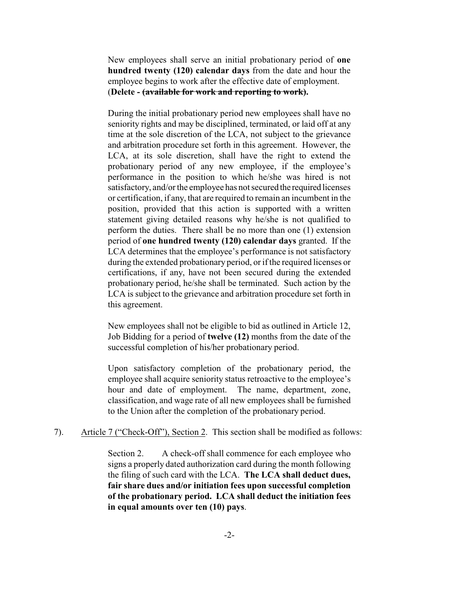New employees shall serve an initial probationary period of **one hundred twenty (120) calendar days** from the date and hour the employee begins to work after the effective date of employment. (**Delete - (available for work and reporting to work).**

During the initial probationary period new employees shall have no seniority rights and may be disciplined, terminated, or laid off at any time at the sole discretion of the LCA, not subject to the grievance and arbitration procedure set forth in this agreement. However, the LCA, at its sole discretion, shall have the right to extend the probationary period of any new employee, if the employee's performance in the position to which he/she was hired is not satisfactory, and/or the employee has not secured the required licenses or certification, if any, that are required to remain an incumbent in the position, provided that this action is supported with a written statement giving detailed reasons why he/she is not qualified to perform the duties. There shall be no more than one (1) extension period of **one hundred twenty (120) calendar days** granted. If the LCA determines that the employee's performance is not satisfactory during the extended probationary period, or if the required licenses or certifications, if any, have not been secured during the extended probationary period, he/she shall be terminated. Such action by the LCA is subject to the grievance and arbitration procedure set forth in this agreement.

New employees shall not be eligible to bid as outlined in Article 12, Job Bidding for a period of **twelve (12)** months from the date of the successful completion of his/her probationary period.

Upon satisfactory completion of the probationary period, the employee shall acquire seniority status retroactive to the employee's hour and date of employment. The name, department, zone, classification, and wage rate of all new employees shall be furnished to the Union after the completion of the probationary period.

7). Article 7 ("Check-Off"), Section 2. This section shall be modified as follows:

Section 2. A check-off shall commence for each employee who signs a properly dated authorization card during the month following the filing of such card with the LCA. **The LCA shall deduct dues, fair share dues and/or initiation fees upon successful completion of the probationary period. LCA shall deduct the initiation fees in equal amounts over ten (10) pays**.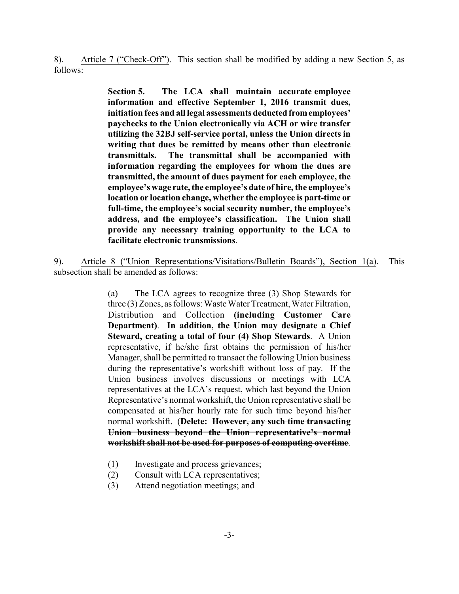8). Article 7 ("Check-Off"). This section shall be modified by adding a new Section 5, as follows:

> **Section 5. The LCA shall maintain accurate employee information and effective September 1, 2016 transmit dues, initiation fees and all legal assessments deducted fromemployees' paychecks to the Union electronically via ACH or wire transfer utilizing the 32BJ self-service portal, unless the Union directs in writing that dues be remitted by means other than electronic transmittals. The transmittal shall be accompanied with information regarding the employees for whom the dues are transmitted, the amount of dues payment for each employee, the employee's wage rate, the employee's date of hire, the employee's location or location change, whether the employee is part-time or full-time, the employee's social security number, the employee's address, and the employee's classification. The Union shall provide any necessary training opportunity to the LCA to facilitate electronic transmissions**.

9). Article 8 ("Union Representations/Visitations/Bulletin Boards"), Section 1(a). This subsection shall be amended as follows:

> (a) The LCA agrees to recognize three (3) Shop Stewards for three (3) Zones, as follows: Waste Water Treatment, Water Filtration, Distribution and Collection **(including Customer Care Department)**. **In addition, the Union may designate a Chief Steward, creating a total of four (4) Shop Stewards**. A Union representative, if he/she first obtains the permission of his/her Manager, shall be permitted to transact the following Union business during the representative's workshift without loss of pay. If the Union business involves discussions or meetings with LCA representatives at the LCA's request, which last beyond the Union Representative's normal workshift, the Union representative shall be compensated at his/her hourly rate for such time beyond his/her normal workshift. (**Delete: However, any such time transacting Union business beyond the Union representative's normal workshift shall not be used for purposes of computing overtime**.

- (1) Investigate and process grievances;
- (2) Consult with LCA representatives;
- (3) Attend negotiation meetings; and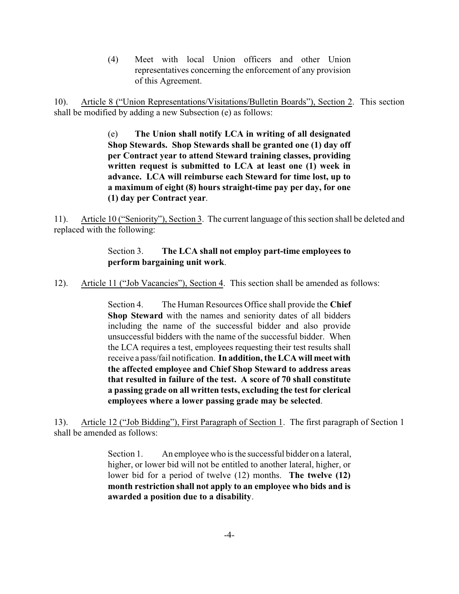(4) Meet with local Union officers and other Union representatives concerning the enforcement of any provision of this Agreement.

10). Article 8 ("Union Representations/Visitations/Bulletin Boards"), Section 2. This section shall be modified by adding a new Subsection (e) as follows:

> (e) **The Union shall notify LCA in writing of all designated Shop Stewards. Shop Stewards shall be granted one (1) day off per Contract year to attend Steward training classes, providing written request is submitted to LCA at least one (1) week in advance. LCA will reimburse each Steward for time lost, up to a maximum of eight (8) hours straight-time pay per day, for one (1) day per Contract year**.

11). Article 10 ("Seniority"), Section 3. The current language of this section shall be deleted and replaced with the following:

# Section 3. **The LCA shall not employ part-time employees to perform bargaining unit work**.

12). Article 11 ("Job Vacancies"), Section 4. This section shall be amended as follows:

Section 4. The Human Resources Office shall provide the **Chief Shop Steward** with the names and seniority dates of all bidders including the name of the successful bidder and also provide unsuccessful bidders with the name of the successful bidder. When the LCA requires a test, employees requesting their test results shall receive a pass/fail notification. **In addition, the LCA will meet with the affected employee and Chief Shop Steward to address areas that resulted in failure of the test. A score of 70 shall constitute a passing grade on all written tests, excluding the test for clerical employees where a lower passing grade may be selected**.

13). Article 12 ("Job Bidding"), First Paragraph of Section 1. The first paragraph of Section 1 shall be amended as follows:

> Section 1. An employee who is the successful bidder on a lateral, higher, or lower bid will not be entitled to another lateral, higher, or lower bid for a period of twelve (12) months. **The twelve (12) month restriction shall not apply to an employee who bids and is awarded a position due to a disability**.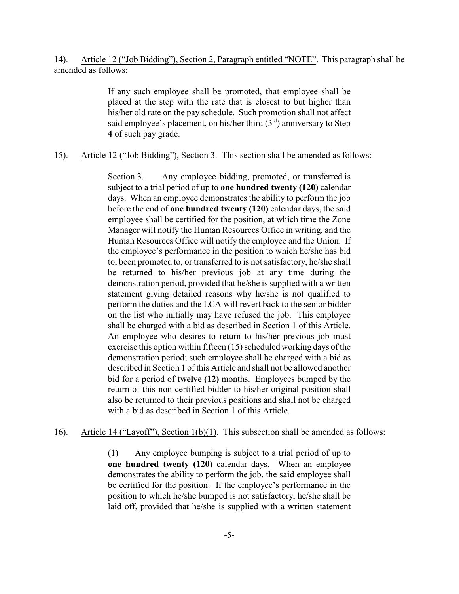14). Article 12 ("Job Bidding"), Section 2, Paragraph entitled "NOTE". This paragraph shall be amended as follows:

> If any such employee shall be promoted, that employee shall be placed at the step with the rate that is closest to but higher than his/her old rate on the pay schedule. Such promotion shall not affect said employee's placement, on his/her third  $(3<sup>rd</sup>)$  anniversary to Step **4** of such pay grade.

15). Article 12 ("Job Bidding"), Section 3. This section shall be amended as follows:

Section 3. Any employee bidding, promoted, or transferred is subject to a trial period of up to **one hundred twenty (120)** calendar days. When an employee demonstrates the ability to perform the job before the end of **one hundred twenty (120)** calendar days, the said employee shall be certified for the position, at which time the Zone Manager will notify the Human Resources Office in writing, and the Human Resources Office will notify the employee and the Union. If the employee's performance in the position to which he/she has bid to, been promoted to, or transferred to is not satisfactory, he/she shall be returned to his/her previous job at any time during the demonstration period, provided that he/she is supplied with a written statement giving detailed reasons why he/she is not qualified to perform the duties and the LCA will revert back to the senior bidder on the list who initially may have refused the job. This employee shall be charged with a bid as described in Section 1 of this Article. An employee who desires to return to his/her previous job must exercise this option within fifteen (15) scheduled working days of the demonstration period; such employee shall be charged with a bid as described in Section 1 of this Article and shall not be allowed another bid for a period of **twelve (12)** months. Employees bumped by the return of this non-certified bidder to his/her original position shall also be returned to their previous positions and shall not be charged with a bid as described in Section 1 of this Article.

16). Article 14 ("Layoff"), Section 1(b)(1). This subsection shall be amended as follows:

(1) Any employee bumping is subject to a trial period of up to **one hundred twenty (120)** calendar days. When an employee demonstrates the ability to perform the job, the said employee shall be certified for the position. If the employee's performance in the position to which he/she bumped is not satisfactory, he/she shall be laid off, provided that he/she is supplied with a written statement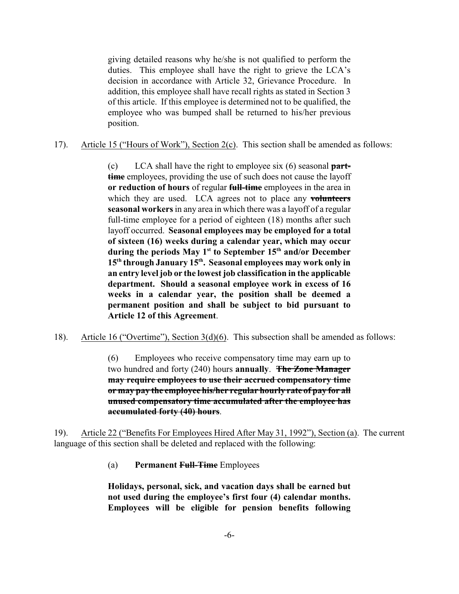giving detailed reasons why he/she is not qualified to perform the duties. This employee shall have the right to grieve the LCA's decision in accordance with Article 32, Grievance Procedure. In addition, this employee shall have recall rights as stated in Section 3 of this article. If this employee is determined not to be qualified, the employee who was bumped shall be returned to his/her previous position.

17). Article 15 ("Hours of Work"), Section 2(c). This section shall be amended as follows:

(c) LCA shall have the right to employee six (6) seasonal **parttime** employees, providing the use of such does not cause the layoff **or reduction of hours** of regular **full-time** employees in the area in which they are used. LCA agrees not to place any **volunteers seasonal workers** in any area in which there was a layoff of a regular full-time employee for a period of eighteen (18) months after such layoff occurred. **Seasonal employees may be employed for a total of sixteen (16) weeks during a calendar year, which may occur during the periods May 1 st to September 15th and/or December 15th through January 15th . Seasonal employees may work only in an entry level job or the lowest job classification in the applicable department. Should a seasonal employee work in excess of 16 weeks in a calendar year, the position shall be deemed a permanent position and shall be subject to bid pursuant to Article 12 of this Agreement**.

18). Article 16 ("Overtime"), Section 3(d)(6). This subsection shall be amended as follows:

(6) Employees who receive compensatory time may earn up to two hundred and forty (240) hours **annually**. **The Zone Manager may require employees to use their accrued compensatory time or may pay the employee his/her regular hourly rate of pay for all unused compensatory time accumulated after the employee has accumulated forty (40) hours**.

19). Article 22 ("Benefits For Employees Hired After May 31, 1992"), Section (a). The current language of this section shall be deleted and replaced with the following:

(a) **Permanent Full-Time** Employees

**Holidays, personal, sick, and vacation days shall be earned but not used during the employee's first four (4) calendar months. Employees will be eligible for pension benefits following**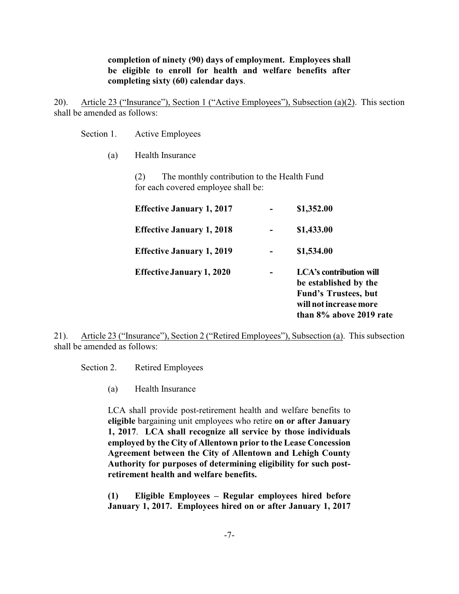# **completion of ninety (90) days of employment. Employees shall be eligible to enroll for health and welfare benefits after completing sixty (60) calendar days**.

20). Article 23 ("Insurance"), Section 1 ("Active Employees"), Subsection (a)(2). This section shall be amended as follows:

Section 1. Active Employees

(a) Health Insurance

(2) The monthly contribution to the Health Fund for each covered employee shall be:

| <b>Effective January 1, 2017</b> | \$1,352.00                                                                                                                                  |
|----------------------------------|---------------------------------------------------------------------------------------------------------------------------------------------|
| <b>Effective January 1, 2018</b> | \$1,433.00                                                                                                                                  |
| <b>Effective January 1, 2019</b> | \$1,534.00                                                                                                                                  |
| <b>Effective January 1, 2020</b> | <b>LCA's contribution will</b><br>be established by the<br><b>Fund's Trustees, but</b><br>will not increase more<br>than 8% above 2019 rate |

21). Article 23 ("Insurance"), Section 2 ("Retired Employees"), Subsection (a). This subsection shall be amended as follows:

Section 2. Retired Employees

(a) Health Insurance

LCA shall provide post-retirement health and welfare benefits to **eligible** bargaining unit employees who retire **on or after January 1, 2017**. **LCA shall recognize all service by those individuals employed by the City of Allentown prior to the Lease Concession Agreement between the City of Allentown and Lehigh County Authority for purposes of determining eligibility for such postretirement health and welfare benefits.**

**(1) Eligible Employees – Regular employees hired before January 1, 2017. Employees hired on or after January 1, 2017**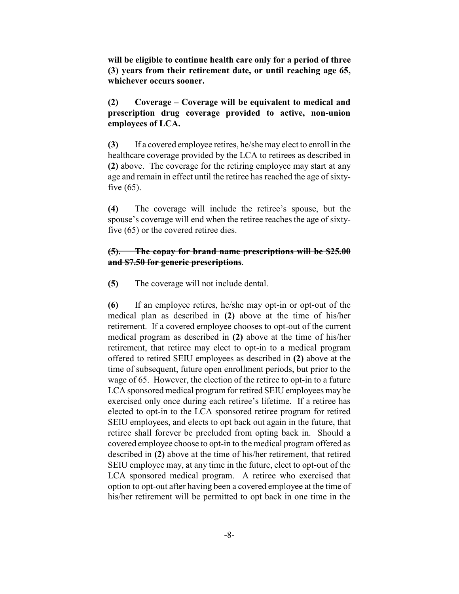**will be eligible to continue health care only for a period of three (3) years from their retirement date, or until reaching age 65, whichever occurs sooner.**

# **(2) Coverage – Coverage will be equivalent to medical and prescription drug coverage provided to active, non-union employees of LCA.**

**(3)** If a covered employee retires, he/she may elect to enroll in the healthcare coverage provided by the LCA to retirees as described in **(2)** above. The coverage for the retiring employee may start at any age and remain in effect until the retiree has reached the age of sixtyfive  $(65)$ .

**(4)** The coverage will include the retiree's spouse, but the spouse's coverage will end when the retiree reaches the age of sixtyfive (65) or the covered retiree dies.

# **(5). The copay for brand name prescriptions will be \$25.00 and \$7.50 for generic prescriptions**.

**(5)** The coverage will not include dental.

**(6)** If an employee retires, he/she may opt-in or opt-out of the medical plan as described in **(2)** above at the time of his/her retirement. If a covered employee chooses to opt-out of the current medical program as described in **(2)** above at the time of his/her retirement, that retiree may elect to opt-in to a medical program offered to retired SEIU employees as described in **(2)** above at the time of subsequent, future open enrollment periods, but prior to the wage of 65. However, the election of the retiree to opt-in to a future LCA sponsored medical program for retired SEIU employees may be exercised only once during each retiree's lifetime. If a retiree has elected to opt-in to the LCA sponsored retiree program for retired SEIU employees, and elects to opt back out again in the future, that retiree shall forever be precluded from opting back in. Should a covered employee choose to opt-in to the medical program offered as described in **(2)** above at the time of his/her retirement, that retired SEIU employee may, at any time in the future, elect to opt-out of the LCA sponsored medical program. A retiree who exercised that option to opt-out after having been a covered employee at the time of his/her retirement will be permitted to opt back in one time in the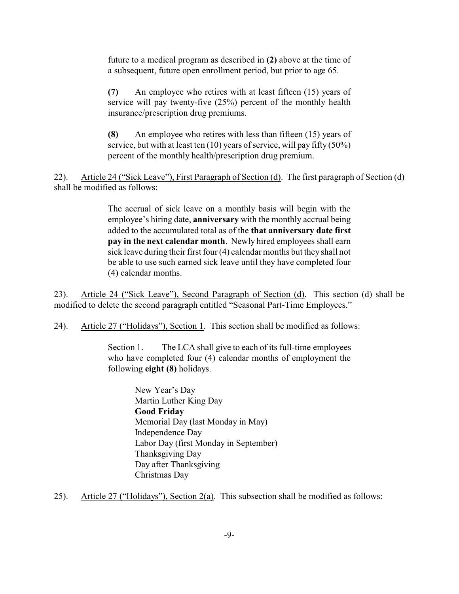future to a medical program as described in **(2)** above at the time of a subsequent, future open enrollment period, but prior to age 65.

**(7)** An employee who retires with at least fifteen (15) years of service will pay twenty-five (25%) percent of the monthly health insurance/prescription drug premiums.

**(8)** An employee who retires with less than fifteen (15) years of service, but with at least ten  $(10)$  years of service, will pay fifty  $(50\%)$ percent of the monthly health/prescription drug premium.

22). Article 24 ("Sick Leave"), First Paragraph of Section (d). The first paragraph of Section (d) shall be modified as follows:

> The accrual of sick leave on a monthly basis will begin with the employee's hiring date, **anniversary** with the monthly accrual being added to the accumulated total as of the **that anniversary date first pay in the next calendar month**. Newly hired employees shall earn sick leave during their first four (4) calendar months but they shall not be able to use such earned sick leave until they have completed four (4) calendar months.

23). Article 24 ("Sick Leave"), Second Paragraph of Section (d). This section (d) shall be modified to delete the second paragraph entitled "Seasonal Part-Time Employees."

24). Article 27 ("Holidays"), Section 1. This section shall be modified as follows:

Section 1. The LCA shall give to each of its full-time employees who have completed four (4) calendar months of employment the following **eight (8)** holidays.

> New Year's Day Martin Luther King Day **Good Friday** Memorial Day (last Monday in May) Independence Day Labor Day (first Monday in September) Thanksgiving Day Day after Thanksgiving Christmas Day

25). Article 27 ("Holidays"), Section 2(a). This subsection shall be modified as follows: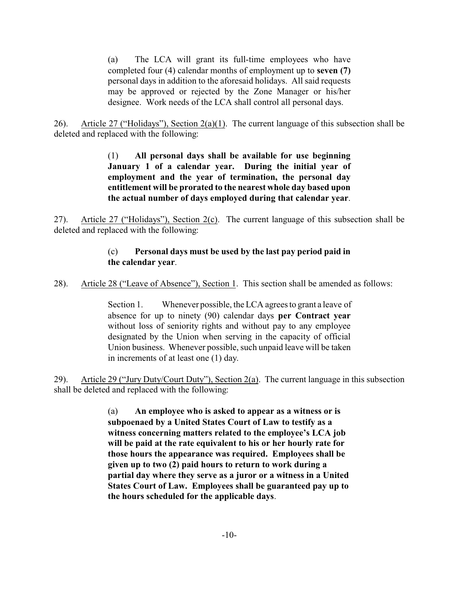(a) The LCA will grant its full-time employees who have completed four (4) calendar months of employment up to **seven (7)** personal days in addition to the aforesaid holidays. All said requests may be approved or rejected by the Zone Manager or his/her designee. Work needs of the LCA shall control all personal days.

26). Article 27 ("Holidays"), Section 2(a)(1). The current language of this subsection shall be deleted and replaced with the following:

> (1) **All personal days shall be available for use beginning January 1 of a calendar year. During the initial year of employment and the year of termination, the personal day entitlement will be prorated to the nearest whole day based upon the actual number of days employed during that calendar year**.

27). Article 27 ("Holidays"), Section 2(c). The current language of this subsection shall be deleted and replaced with the following:

# (c) **Personal days must be used by the last pay period paid in the calendar year**.

28). Article 28 ("Leave of Absence"), Section 1. This section shall be amended as follows:

Section 1. Whenever possible, the LCA agrees to grant a leave of absence for up to ninety (90) calendar days **per Contract year** without loss of seniority rights and without pay to any employee designated by the Union when serving in the capacity of official Union business. Whenever possible, such unpaid leave will be taken in increments of at least one (1) day.

29). Article 29 ("Jury Duty/Court Duty"), Section 2(a). The current language in this subsection shall be deleted and replaced with the following:

> (a) **An employee who is asked to appear as a witness or is subpoenaed by a United States Court of Law to testify as a witness concerning matters related to the employee's LCA job will be paid at the rate equivalent to his or her hourly rate for those hours the appearance was required. Employees shall be given up to two (2) paid hours to return to work during a partial day where they serve as a juror or a witness in a United States Court of Law. Employees shall be guaranteed pay up to the hours scheduled for the applicable days**.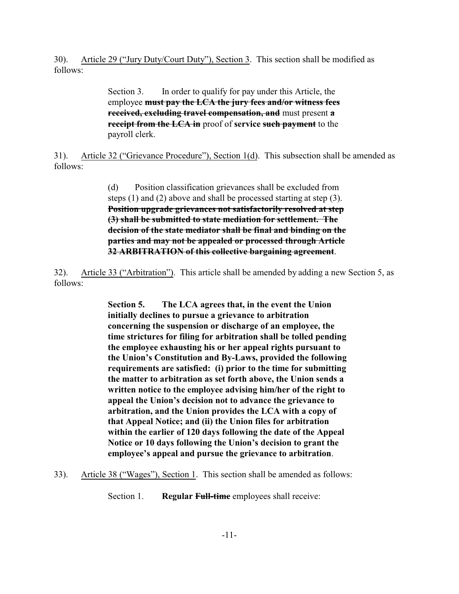30). Article 29 ("Jury Duty/Court Duty"), Section 3. This section shall be modified as follows:

> Section 3. In order to qualify for pay under this Article, the employee **must pay the LCA the jury fees and/or witness fees received, excluding travel compensation, and** must present **a receipt from the LCA in** proof of **service such payment** to the payroll clerk.

31). Article 32 ("Grievance Procedure"), Section 1(d). This subsection shall be amended as follows:

> (d) Position classification grievances shall be excluded from steps (1) and (2) above and shall be processed starting at step (3). **Position upgrade grievances not satisfactorily resolved at step (3) shall be submitted to state mediation for settlement. The decision of the state mediator shall be final and binding on the parties and may not be appealed or processed through Article 32 ARBITRATION of this collective bargaining agreement**.

32). Article 33 ("Arbitration"). This article shall be amended by adding a new Section 5, as follows:

> **Section 5. The LCA agrees that, in the event the Union initially declines to pursue a grievance to arbitration concerning the suspension or discharge of an employee, the time strictures for filing for arbitration shall be tolled pending the employee exhausting his or her appeal rights pursuant to the Union's Constitution and By-Laws, provided the following requirements are satisfied: (i) prior to the time for submitting the matter to arbitration as set forth above, the Union sends a written notice to the employee advising him/her of the right to appeal the Union's decision not to advance the grievance to arbitration, and the Union provides the LCA with a copy of that Appeal Notice; and (ii) the Union files for arbitration within the earlier of 120 days following the date of the Appeal Notice or 10 days following the Union's decision to grant the employee's appeal and pursue the grievance to arbitration**.

33). Article 38 ("Wages"), Section 1. This section shall be amended as follows:

Section 1. **Regular Full-time** employees shall receive: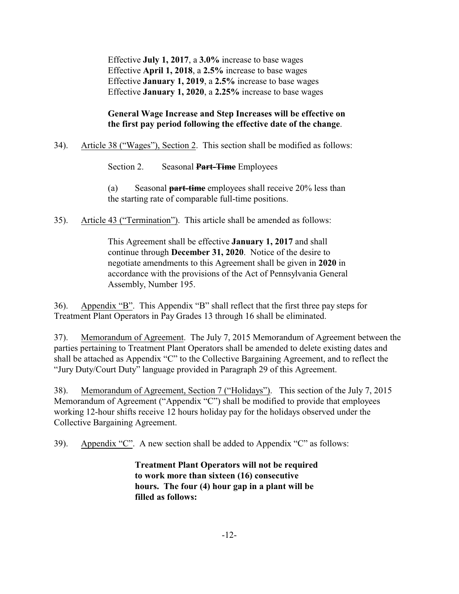Effective **July 1, 2017**, a **3.0%** increase to base wages Effective **April 1, 2018**, a **2.5%** increase to base wages Effective **January 1, 2019**, a **2.5%** increase to base wages Effective **January 1, 2020**, a **2.25%** increase to base wages

# **General Wage Increase and Step Increases will be effective on the first pay period following the effective date of the change**.

34). Article 38 ("Wages"), Section 2. This section shall be modified as follows:

Section 2. Seasonal **Part-Time** Employees

(a) Seasonal **part-time** employees shall receive 20% less than the starting rate of comparable full-time positions.

35). Article 43 ("Termination"). This article shall be amended as follows:

This Agreement shall be effective **January 1, 2017** and shall continue through **December 31, 2020**. Notice of the desire to negotiate amendments to this Agreement shall be given in **2020** in accordance with the provisions of the Act of Pennsylvania General Assembly, Number 195.

36). Appendix "B". This Appendix "B" shall reflect that the first three pay steps for Treatment Plant Operators in Pay Grades 13 through 16 shall be eliminated.

37). Memorandum of Agreement. The July 7, 2015 Memorandum of Agreement between the parties pertaining to Treatment Plant Operators shall be amended to delete existing dates and shall be attached as Appendix "C" to the Collective Bargaining Agreement, and to reflect the "Jury Duty/Court Duty" language provided in Paragraph 29 of this Agreement.

38). Memorandum of Agreement, Section 7 ("Holidays"). This section of the July 7, 2015 Memorandum of Agreement ("Appendix "C") shall be modified to provide that employees working 12-hour shifts receive 12 hours holiday pay for the holidays observed under the Collective Bargaining Agreement.

39). Appendix "C". A new section shall be added to Appendix "C" as follows:

**Treatment Plant Operators will not be required to work more than sixteen (16) consecutive hours. The four (4) hour gap in a plant will be filled as follows:**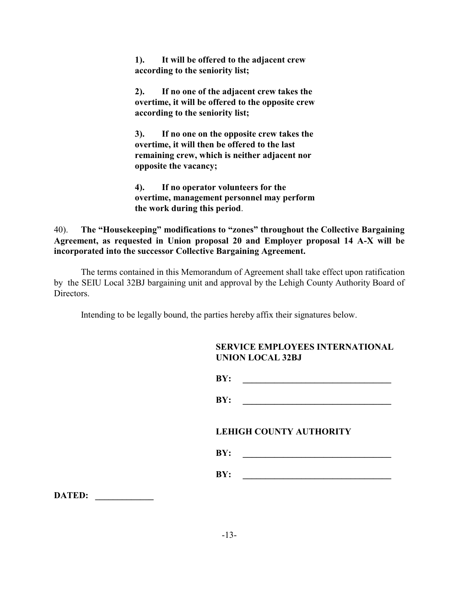**1). It will be offered to the adjacent crew according to the seniority list;** 

**2). If no one of the adjacent crew takes the overtime, it will be offered to the opposite crew according to the seniority list;**

**3). If no one on the opposite crew takes the overtime, it will then be offered to the last remaining crew, which is neither adjacent nor opposite the vacancy;**

**4). If no operator volunteers for the overtime, management personnel may perform the work during this period**.

40). **The "Housekeeping" modifications to "zones" throughout the Collective Bargaining Agreement, as requested in Union proposal 20 and Employer proposal 14 A-X will be incorporated into the successor Collective Bargaining Agreement.**

The terms contained in this Memorandum of Agreement shall take effect upon ratification by the SEIU Local 32BJ bargaining unit and approval by the Lehigh County Authority Board of Directors.

Intending to be legally bound, the parties hereby affix their signatures below.

| <b>SERVICE EMPLOYEES INTERNATIONAL</b> |
|----------------------------------------|
| <b>UNION LOCAL 32BJ</b>                |

**BY: \_\_\_\_\_\_\_\_\_\_\_\_\_\_\_\_\_\_\_\_\_\_\_\_\_\_\_\_\_\_\_\_\_ BY: \_\_\_\_\_\_\_\_\_\_\_\_\_\_\_\_\_\_\_\_\_\_\_\_\_\_\_\_\_\_\_\_\_**

**LEHIGH COUNTY AUTHORITY**

| BY: |  |
|-----|--|
|     |  |

**BY: \_\_\_\_\_\_\_\_\_\_\_\_\_\_\_\_\_\_\_\_\_\_\_\_\_\_\_\_\_\_\_\_\_**

**DATED: \_\_\_\_\_\_\_\_\_\_\_\_\_**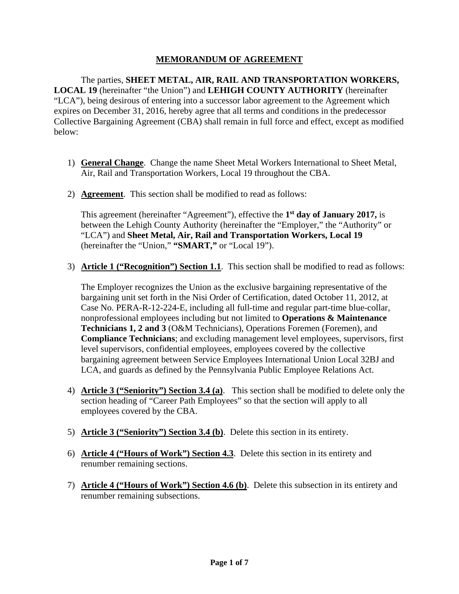# **MEMORANDUM OF AGREEMENT**

 The parties, **SHEET METAL, AIR, RAIL AND TRANSPORTATION WORKERS, LOCAL 19** (hereinafter "the Union") and **LEHIGH COUNTY AUTHORITY** (hereinafter "LCA"), being desirous of entering into a successor labor agreement to the Agreement which expires on December 31, 2016, hereby agree that all terms and conditions in the predecessor Collective Bargaining Agreement (CBA) shall remain in full force and effect, except as modified below:

- 1) **General Change**. Change the name Sheet Metal Workers International to Sheet Metal, Air, Rail and Transportation Workers, Local 19 throughout the CBA.
- 2) **Agreement**. This section shall be modified to read as follows:

This agreement (hereinafter "Agreement"), effective the **1st day of January 2017,** is between the Lehigh County Authority (hereinafter the "Employer," the "Authority" or "LCA") and **Sheet Metal, Air, Rail and Transportation Workers, Local 19** (hereinafter the "Union," **"SMART,"** or "Local 19").

3) **Article 1 ("Recognition") Section 1.1**. This section shall be modified to read as follows:

The Employer recognizes the Union as the exclusive bargaining representative of the bargaining unit set forth in the Nisi Order of Certification, dated October 11, 2012, at Case No. PERA-R-12-224-E, including all full-time and regular part-time blue-collar, nonprofessional employees including but not limited to **Operations & Maintenance Technicians 1, 2 and 3** (O&M Technicians), Operations Foremen (Foremen), and **Compliance Technicians**; and excluding management level employees, supervisors, first level supervisors, confidential employees, employees covered by the collective bargaining agreement between Service Employees International Union Local 32BJ and LCA, and guards as defined by the Pennsylvania Public Employee Relations Act.

- 4) **Article 3 ("Seniority") Section 3.4 (a)**. This section shall be modified to delete only the section heading of "Career Path Employees" so that the section will apply to all employees covered by the CBA.
- 5) **Article 3 ("Seniority") Section 3.4 (b)**. Delete this section in its entirety.
- 6) **Article 4 ("Hours of Work") Section 4.3**. Delete this section in its entirety and renumber remaining sections.
- 7) **Article 4 ("Hours of Work") Section 4.6 (b)**. Delete this subsection in its entirety and renumber remaining subsections.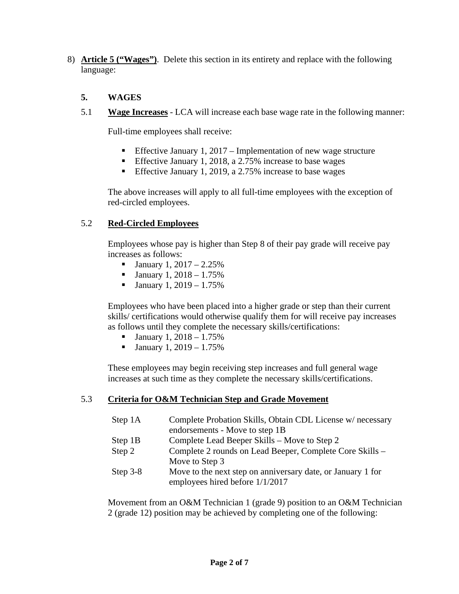8) **Article 5 ("Wages")**. Delete this section in its entirety and replace with the following language:

# **5. WAGES**

5.1 **Wage Increases** - LCA will increase each base wage rate in the following manner:

Full-time employees shall receive:

- **Effective January 1, 2017 Implementation of new wage structure**
- **Effective January 1, 2018, a 2.75% increase to base wages**
- **Effective January 1, 2019, a 2.75% increase to base wages**

The above increases will apply to all full-time employees with the exception of red-circled employees.

# 5.2 **Red-Circled Employees**

Employees whose pay is higher than Step 8 of their pay grade will receive pay increases as follows:

- **January 1, 2017** 2.25%
- **January 1, 2018** 1.75%
- **January 1, 2019** 1.75%

Employees who have been placed into a higher grade or step than their current skills/ certifications would otherwise qualify them for will receive pay increases as follows until they complete the necessary skills/certifications:

- **January 1, 2018** 1.75%
- **January 1, 2019** 1.75%

These employees may begin receiving step increases and full general wage increases at such time as they complete the necessary skills/certifications.

# 5.3 **Criteria for O&M Technician Step and Grade Movement**

| Step 1A    | Complete Probation Skills, Obtain CDL License w/ necessary<br>endorsements - Move to step 1B   |
|------------|------------------------------------------------------------------------------------------------|
| Step 1B    | Complete Lead Beeper Skills – Move to Step 2                                                   |
| Step 2     | Complete 2 rounds on Lead Beeper, Complete Core Skills -<br>Move to Step 3                     |
| Step $3-8$ | Move to the next step on anniversary date, or January 1 for<br>employees hired before 1/1/2017 |

Movement from an O&M Technician 1 (grade 9) position to an O&M Technician 2 (grade 12) position may be achieved by completing one of the following: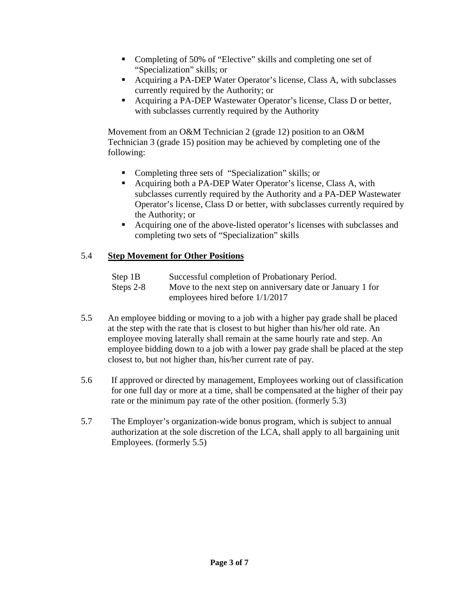- Completing of 50% of "Elective" skills and completing one set of "Specialization" skills; or
- Acquiring a PA-DEP Water Operator's license, Class A, with subclasses currently required by the Authority; or
- Acquiring a PA-DEP Wastewater Operator's license, Class D or better, with subclasses currently required by the Authority

Movement from an O&M Technician 2 (grade 12) position to an O&M Technician 3 (grade 15) position may be achieved by completing one of the following:

- Completing three sets of "Specialization" skills; or
- Acquiring both a PA-DEP Water Operator's license, Class A, with subclasses currently required by the Authority and a PA-DEP Wastewater Operator's license, Class D or better, with subclasses currently required by the Authority; or
- Acquiring one of the above-listed operator's licenses with subclasses and completing two sets of "Specialization" skills

# 5.4 **Step Movement for Other Positions**

| Step 1B   | Successful completion of Probationary Period.              |
|-----------|------------------------------------------------------------|
| Steps 2-8 | Move to the next step on anniversary date or January 1 for |
|           | employees hired before $1/1/2017$                          |

- 5.5 An employee bidding or moving to a job with a higher pay grade shall be placed at the step with the rate that is closest to but higher than his/her old rate. An employee moving laterally shall remain at the same hourly rate and step. An employee bidding down to a job with a lower pay grade shall be placed at the step closest to, but not higher than, his/her current rate of pay.
- 5.6 If approved or directed by management, Employees working out of classification for one full day or more at a time, shall be compensated at the higher of their pay rate or the minimum pay rate of the other position. (formerly 5.3)
- 5.7 The Employer's organization-wide bonus program, which is subject to annual authorization at the sole discretion of the LCA, shall apply to all bargaining unit Employees. (formerly 5.5)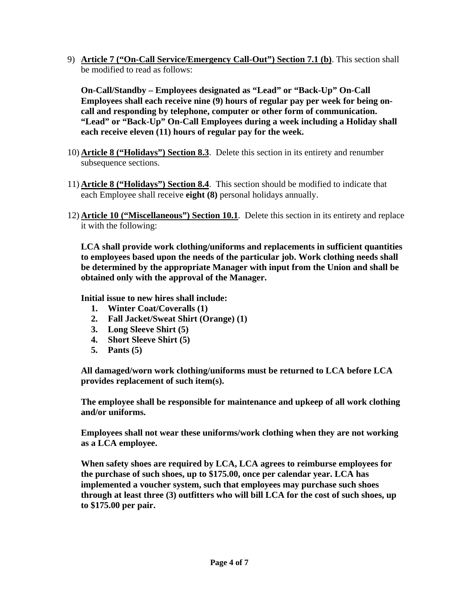9) **Article 7 ("On-Call Service/Emergency Call-Out") Section 7.1 (b)**. This section shall be modified to read as follows:

**On-Call/Standby – Employees designated as "Lead" or "Back-Up" On-Call Employees shall each receive nine (9) hours of regular pay per week for being oncall and responding by telephone, computer or other form of communication. "Lead" or "Back-Up" On-Call Employees during a week including a Holiday shall each receive eleven (11) hours of regular pay for the week.** 

- 10) **Article 8 ("Holidays") Section 8.3**. Delete this section in its entirety and renumber subsequence sections.
- 11) **Article 8 ("Holidays") Section 8.4**. This section should be modified to indicate that each Employee shall receive **eight (8)** personal holidays annually.
- 12) **Article 10 ("Miscellaneous") Section 10.1**. Delete this section in its entirety and replace it with the following:

**LCA shall provide work clothing/uniforms and replacements in sufficient quantities to employees based upon the needs of the particular job. Work clothing needs shall be determined by the appropriate Manager with input from the Union and shall be obtained only with the approval of the Manager.** 

**Initial issue to new hires shall include:** 

- **1. Winter Coat/Coveralls (1)**
- **2. Fall Jacket/Sweat Shirt (Orange) (1)**
- **3. Long Sleeve Shirt (5)**
- **4. Short Sleeve Shirt (5)**
- **5. Pants (5)**

**All damaged/worn work clothing/uniforms must be returned to LCA before LCA provides replacement of such item(s).** 

**The employee shall be responsible for maintenance and upkeep of all work clothing and/or uniforms.** 

**Employees shall not wear these uniforms/work clothing when they are not working as a LCA employee.** 

**When safety shoes are required by LCA, LCA agrees to reimburse employees for the purchase of such shoes, up to \$175.00, once per calendar year. LCA has implemented a voucher system, such that employees may purchase such shoes through at least three (3) outfitters who will bill LCA for the cost of such shoes, up to \$175.00 per pair.**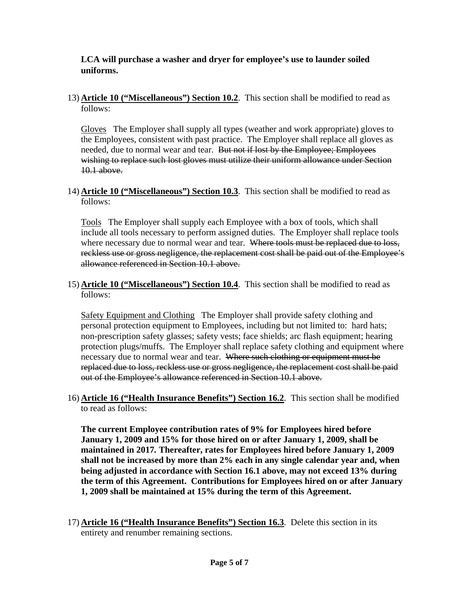# **LCA will purchase a washer and dryer for employee's use to launder soiled uniforms.**

13) **Article 10 ("Miscellaneous") Section 10.2**. This section shall be modified to read as follows:

Gloves The Employer shall supply all types (weather and work appropriate) gloves to the Employees, consistent with past practice. The Employer shall replace all gloves as needed, due to normal wear and tear. But not if lost by the Employee; Employees wishing to replace such lost gloves must utilize their uniform allowance under Section 10.1 above.

14) **Article 10 ("Miscellaneous") Section 10.3**. This section shall be modified to read as follows:

Tools The Employer shall supply each Employee with a box of tools, which shall include all tools necessary to perform assigned duties. The Employer shall replace tools where necessary due to normal wear and tear. Where tools must be replaced due to loss, reckless use or gross negligence, the replacement cost shall be paid out of the Employee's allowance referenced in Section 10.1 above.

15) **Article 10 ("Miscellaneous") Section 10.4**. This section shall be modified to read as follows:

Safety Equipment and Clothing The Employer shall provide safety clothing and personal protection equipment to Employees, including but not limited to: hard hats; non-prescription safety glasses; safety vests; face shields; arc flash equipment; hearing protection plugs/muffs. The Employer shall replace safety clothing and equipment where necessary due to normal wear and tear. Where such clothing or equipment must be replaced due to loss, reckless use or gross negligence, the replacement cost shall be paid out of the Employee's allowance referenced in Section 10.1 above.

16) **Article 16 ("Health Insurance Benefits") Section 16.2**. This section shall be modified to read as follows:

**The current Employee contribution rates of 9% for Employees hired before January 1, 2009 and 15% for those hired on or after January 1, 2009, shall be maintained in 2017***.* **Thereafter, rates for Employees hired before January 1, 2009 shall not be increased by more than 2% each in any single calendar year and, when being adjusted in accordance with Section 16.1 above, may not exceed 13% during the term of this Agreement. Contributions for Employees hired on or after January 1, 2009 shall be maintained at 15% during the term of this Agreement.** 

17) **Article 16 ("Health Insurance Benefits") Section 16.3**. Delete this section in its entirety and renumber remaining sections.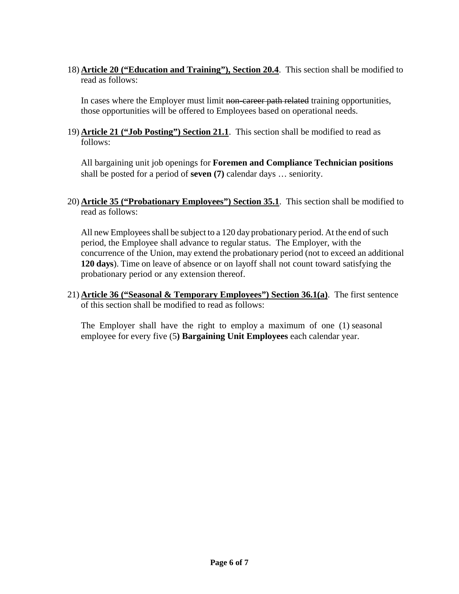18) **Article 20 ("Education and Training"), Section 20.4**. This section shall be modified to read as follows:

In cases where the Employer must limit non-career path related training opportunities, those opportunities will be offered to Employees based on operational needs.

19) **Article 21 ("Job Posting") Section 21.1**. This section shall be modified to read as follows:

All bargaining unit job openings for **Foremen and Compliance Technician positions** shall be posted for a period of **seven (7)** calendar days … seniority.

20) **Article 35 ("Probationary Employees") Section 35.1**. This section shall be modified to read as follows:

All new Employees shall be subject to a 120 day probationary period. At the end of such period, the Employee shall advance to regular status. The Employer, with the concurrence of the Union, may extend the probationary period (not to exceed an additional **120 days**). Time on leave of absence or on layoff shall not count toward satisfying the probationary period or any extension thereof.

21) **Article 36 ("Seasonal & Temporary Employees") Section 36.1(a)**. The first sentence of this section shall be modified to read as follows:

The Employer shall have the right to employ a maximum of one (1) seasonal employee for every five (5**) Bargaining Unit Employees** each calendar year.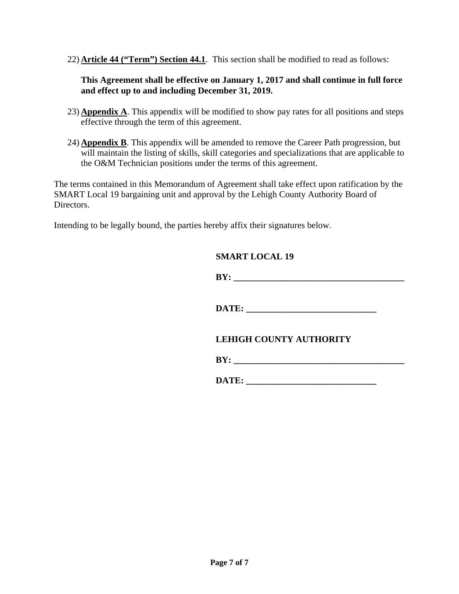22) **Article 44 ("Term") Section 44.1**. This section shall be modified to read as follows:

# **This Agreement shall be effective on January 1, 2017 and shall continue in full force and effect up to and including December 31, 2019.**

- 23) **Appendix A**. This appendix will be modified to show pay rates for all positions and steps effective through the term of this agreement.
- 24) **Appendix B**. This appendix will be amended to remove the Career Path progression, but will maintain the listing of skills, skill categories and specializations that are applicable to the O&M Technician positions under the terms of this agreement.

The terms contained in this Memorandum of Agreement shall take effect upon ratification by the SMART Local 19 bargaining unit and approval by the Lehigh County Authority Board of Directors.

Intending to be legally bound, the parties hereby affix their signatures below.

# **SMART LOCAL 19**

| -- |  |
|----|--|
|----|--|

DATE:

# **LEHIGH COUNTY AUTHORITY**

| - |
|---|
|---|

**DATE:**  $\blacksquare$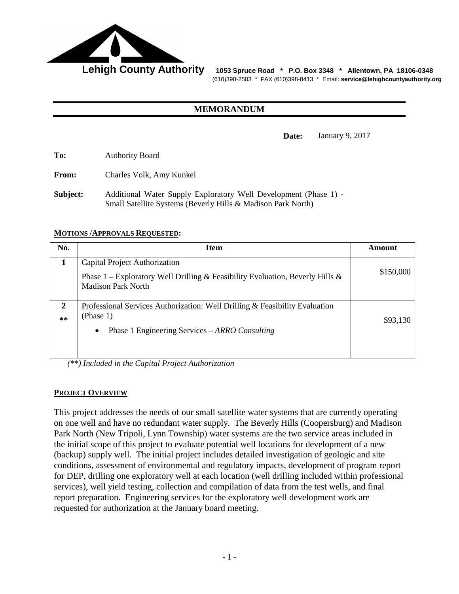

Lehigh County Authority 1053 Spruce Road \* P.O. Box 3348 \* Allentown, PA 18106-0348 (610)398-2503 \* FAX (610)398-8413 \* Email: **service@lehighcountyauthority.org**

# **MEMORANDUM**

**Date:** January 9, 2017

**To:** Authority Board

**From:** Charles Volk, Amy Kunkel

**Subject:** Additional Water Supply Exploratory Well Development (Phase 1) - Small Satellite Systems (Beverly Hills & Madison Park North)

#### **MOTIONS /APPROVALS REQUESTED:**

| No.        | <b>Item</b>                                                                                                                                             | <b>Amount</b> |
|------------|---------------------------------------------------------------------------------------------------------------------------------------------------------|---------------|
|            | Capital Project Authorization<br>Phase 1 – Exploratory Well Drilling & Feasibility Evaluation, Beverly Hills &<br><b>Madison Park North</b>             | \$150,000     |
| 2<br>$***$ | Professional Services Authorization: Well Drilling & Feasibility Evaluation<br>(Phase 1)<br>Phase 1 Engineering Services – ARRO Consulting<br>$\bullet$ | \$93,130      |

*(\*\*) Included in the Capital Project Authorization*

#### **PROJECT OVERVIEW**

This project addresses the needs of our small satellite water systems that are currently operating on one well and have no redundant water supply. The Beverly Hills (Coopersburg) and Madison Park North (New Tripoli, Lynn Township) water systems are the two service areas included in the initial scope of this project to evaluate potential well locations for development of a new (backup) supply well. The initial project includes detailed investigation of geologic and site conditions, assessment of environmental and regulatory impacts, development of program report for DEP, drilling one exploratory well at each location (well drilling included within professional services), well yield testing, collection and compilation of data from the test wells, and final report preparation. Engineering services for the exploratory well development work are requested for authorization at the January board meeting.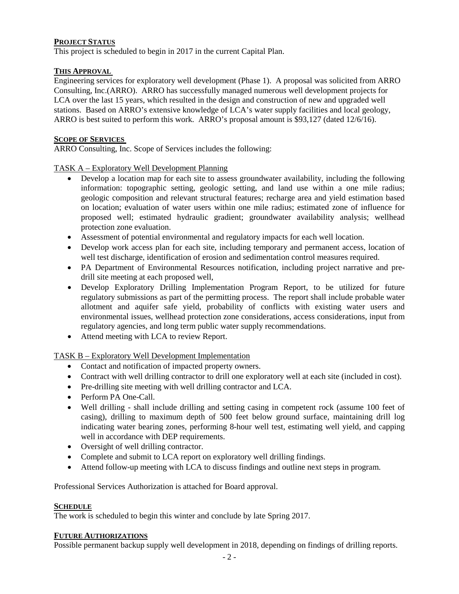# **PROJECT STATUS**

This project is scheduled to begin in 2017 in the current Capital Plan.

#### **THIS APPROVAL**

Engineering services for exploratory well development (Phase 1). A proposal was solicited from ARRO Consulting, Inc.(ARRO). ARRO has successfully managed numerous well development projects for LCA over the last 15 years, which resulted in the design and construction of new and upgraded well stations. Based on ARRO's extensive knowledge of LCA's water supply facilities and local geology, ARRO is best suited to perform this work. ARRO's proposal amount is \$93,127 (dated 12/6/16).

# **SCOPE OF SERVICES**

ARRO Consulting, Inc. Scope of Services includes the following:

#### TASK A – Exploratory Well Development Planning

- Develop a location map for each site to assess groundwater availability, including the following information: topographic setting, geologic setting, and land use within a one mile radius; geologic composition and relevant structural features; recharge area and yield estimation based on location; evaluation of water users within one mile radius; estimated zone of influence for proposed well; estimated hydraulic gradient; groundwater availability analysis; wellhead protection zone evaluation.
- Assessment of potential environmental and regulatory impacts for each well location.
- Develop work access plan for each site, including temporary and permanent access, location of well test discharge, identification of erosion and sedimentation control measures required.
- PA Department of Environmental Resources notification, including project narrative and predrill site meeting at each proposed well,
- Develop Exploratory Drilling Implementation Program Report, to be utilized for future regulatory submissions as part of the permitting process. The report shall include probable water allotment and aquifer safe yield, probability of conflicts with existing water users and environmental issues, wellhead protection zone considerations, access considerations, input from regulatory agencies, and long term public water supply recommendations.
- Attend meeting with LCA to review Report.

TASK B – Exploratory Well Development Implementation

- Contact and notification of impacted property owners.
- Contract with well drilling contractor to drill one exploratory well at each site (included in cost).
- Pre-drilling site meeting with well drilling contractor and LCA.
- Perform PA One-Call.
- Well drilling shall include drilling and setting casing in competent rock (assume 100 feet of casing), drilling to maximum depth of 500 feet below ground surface, maintaining drill log indicating water bearing zones, performing 8-hour well test, estimating well yield, and capping well in accordance with DEP requirements.
- Oversight of well drilling contractor.
- Complete and submit to LCA report on exploratory well drilling findings.
- Attend follow-up meeting with LCA to discuss findings and outline next steps in program.

Professional Services Authorization is attached for Board approval.

#### **SCHEDULE**

The work is scheduled to begin this winter and conclude by late Spring 2017.

#### **FUTURE AUTHORIZATIONS**

Possible permanent backup supply well development in 2018, depending on findings of drilling reports.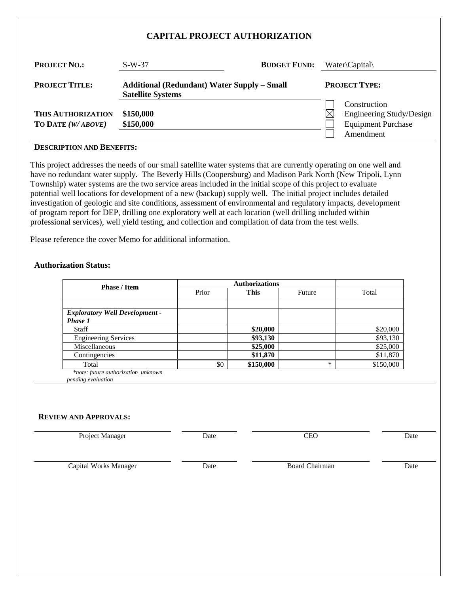## **CAPITAL PROJECT AUTHORIZATION**

| <b>PROJECT NO.:</b>                     | $S-W-37$                                                                       | <b>BUDGET FUND:</b> |   | $Water \cap \text{Capital}$                                                        |
|-----------------------------------------|--------------------------------------------------------------------------------|---------------------|---|------------------------------------------------------------------------------------|
| <b>PROJECT TITLE:</b>                   | <b>Additional (Redundant) Water Supply - Small</b><br><b>Satellite Systems</b> |                     |   | <b>PROJECT TYPE:</b>                                                               |
| THIS AUTHORIZATION<br>TO DATE (W/ABOVE) | \$150,000<br>\$150,000                                                         |                     | M | Construction<br>Engineering Study/Design<br><b>Equipment Purchase</b><br>Amendment |

#### **DESCRIPTION AND BENEFITS:**

This project addresses the needs of our small satellite water systems that are currently operating on one well and have no redundant water supply. The Beverly Hills (Coopersburg) and Madison Park North (New Tripoli, Lynn Township) water systems are the two service areas included in the initial scope of this project to evaluate potential well locations for development of a new (backup) supply well. The initial project includes detailed investigation of geologic and site conditions, assessment of environmental and regulatory impacts, development of program report for DEP, drilling one exploratory well at each location (well drilling included within professional services), well yield testing, and collection and compilation of data from the test wells.

Please reference the cover Memo for additional information.

#### **Authorization Status:**

| <b>Phase / Item</b>                   |       |             |        |           |
|---------------------------------------|-------|-------------|--------|-----------|
|                                       | Prior | <b>This</b> | Future | Total     |
|                                       |       |             |        |           |
| <b>Exploratory Well Development -</b> |       |             |        |           |
| <b>Phase 1</b>                        |       |             |        |           |
| Staff                                 |       | \$20,000    |        | \$20,000  |
| <b>Engineering Services</b>           |       | \$93,130    |        | \$93,130  |
| Miscellaneous                         |       | \$25,000    |        | \$25,000  |
| Contingencies                         |       | \$11,870    |        | \$11,870  |
| Total                                 | \$0   | \$150,000   | $\ast$ | \$150,000 |

*\*note: future authorization unknown pending evaluation*

#### **REVIEW AND APPROVALS:**

| Project Manager       | Date | <b>CEO</b>            | Date |
|-----------------------|------|-----------------------|------|
| Capital Works Manager | Date | <b>Board Chairman</b> | Date |
|                       |      |                       |      |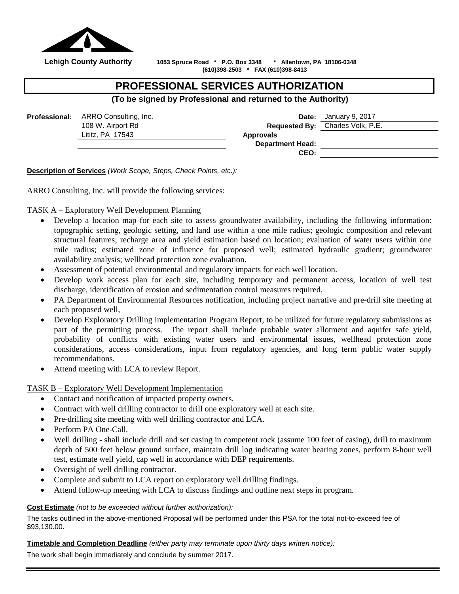

 **Lehigh County Authority 1053 Spruce Road \* P.O. Box 3348 \* Allentown, PA 18106-0348 (610)398-2503 \* FAX (610)398-8413**

# **PROFESSIONAL SERVICES AUTHORIZATION**

# **(To be signed by Professional and returned to the Authority)**

| <b>Professional:</b> ARRO Consulting, Inc. |                         | <b>Date:</b> January 9, 2017     |
|--------------------------------------------|-------------------------|----------------------------------|
| 108 W. Airport Rd                          |                         | Requested By: Charles Volk, P.E. |
| Lititz, PA 17543                           | <b>Approvals</b>        |                                  |
|                                            | <b>Department Head:</b> |                                  |
|                                            | CEO:                    |                                  |
|                                            |                         |                                  |

**Description of Services** *(Work Scope, Steps, Check Points, etc.):*

ARRO Consulting, Inc. will provide the following services:

TASK A – Exploratory Well Development Planning

- Develop a location map for each site to assess groundwater availability, including the following information: topographic setting, geologic setting, and land use within a one mile radius; geologic composition and relevant structural features; recharge area and yield estimation based on location; evaluation of water users within one mile radius; estimated zone of influence for proposed well; estimated hydraulic gradient; groundwater availability analysis; wellhead protection zone evaluation.
- Assessment of potential environmental and regulatory impacts for each well location.
- Develop work access plan for each site, including temporary and permanent access, location of well test discharge, identification of erosion and sedimentation control measures required.
- PA Department of Environmental Resources notification, including project narrative and pre-drill site meeting at each proposed well,
- Develop Exploratory Drilling Implementation Program Report, to be utilized for future regulatory submissions as part of the permitting process. The report shall include probable water allotment and aquifer safe yield, probability of conflicts with existing water users and environmental issues, wellhead protection zone considerations, access considerations, input from regulatory agencies, and long term public water supply recommendations.
- Attend meeting with LCA to review Report.

TASK B – Exploratory Well Development Implementation

- Contact and notification of impacted property owners.
- Contract with well drilling contractor to drill one exploratory well at each site.
- Pre-drilling site meeting with well drilling contractor and LCA.
- Perform PA One-Call.
- Well drilling shall include drill and set casing in competent rock (assume 100 feet of casing), drill to maximum depth of 500 feet below ground surface, maintain drill log indicating water bearing zones, perform 8-hour well test, estimate well yield, cap well in accordance with DEP requirements.
- Oversight of well drilling contractor.
- Complete and submit to LCA report on exploratory well drilling findings.
- Attend follow-up meeting with LCA to discuss findings and outline next steps in program.

#### **Cost Estimate** *(not to be exceeded without further authorization):*

The tasks outlined in the above-mentioned Proposal will be performed under this PSA for the total not-to-exceed fee of \$93,130.00.

**Timetable and Completion Deadline** *(either party may terminate upon thirty days written notice):*

The work shall begin immediately and conclude by summer 2017.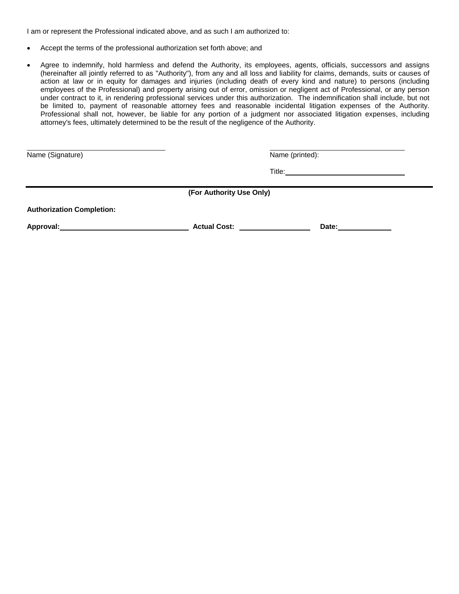I am or represent the Professional indicated above, and as such I am authorized to:

- Accept the terms of the professional authorization set forth above; and
- Agree to indemnify, hold harmless and defend the Authority, its employees, agents, officials, successors and assigns (hereinafter all jointly referred to as "Authority"), from any and all loss and liability for claims, demands, suits or causes of action at law or in equity for damages and injuries (including death of every kind and nature) to persons (including employees of the Professional) and property arising out of error, omission or negligent act of Professional, or any person under contract to it, in rendering professional services under this authorization. The indemnification shall include, but not be limited to, payment of reasonable attorney fees and reasonable incidental litigation expenses of the Authority. Professional shall not, however, be liable for any portion of a judgment nor associated litigation expenses, including attorney's fees, ultimately determined to be the result of the negligence of the Authority.

Name (Signature) Name (printed):

Title: The Commission of the Commission of the Commission of the Commission of the Commission of the Commission

**(For Authority Use Only)**

**Authorization Completion:**

Approval: Network and Cost: Network and Cost: Network and Cost: Network and Date: Network and Date: Network and Date: Network and Date: Network and Date: Network and Date: Network and Date: Network and Date: Network and Da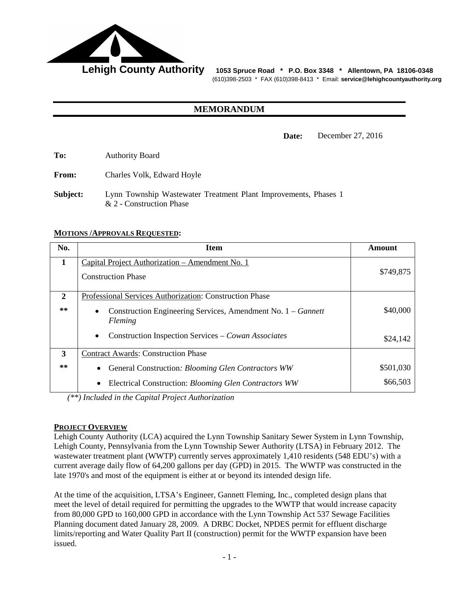

Lehigh County Authority 1053 Spruce Road \* P.O. Box 3348 \* Allentown, PA 18106-0348 (610)398-2503 \* FAX (610)398-8413 \* Email: **service@lehighcountyauthority.org**

# **MEMORANDUM**

**Date:** December 27, 2016

**To:** Authority Board

**From:** Charles Volk, Edward Hoyle

**Subject:** Lynn Township Wastewater Treatment Plant Improvements, Phases 1 & 2 - Construction Phase

#### **MOTIONS /APPROVALS REQUESTED:**

| No.          | <b>Item</b>                                                                                                                                                                                                         | Amount               |
|--------------|---------------------------------------------------------------------------------------------------------------------------------------------------------------------------------------------------------------------|----------------------|
| $\mathbf{1}$ | Capital Project Authorization – Amendment No. 1<br><b>Construction Phase</b>                                                                                                                                        | \$749,875            |
| 2<br>$***$   | Professional Services Authorization: Construction Phase<br>Construction Engineering Services, Amendment No. 1 – Gannett<br>$\bullet$<br>Fleming<br>Construction Inspection Services – Cowan Associates<br>$\bullet$ | \$40,000<br>\$24,142 |
| 3            | <b>Contract Awards: Construction Phase</b>                                                                                                                                                                          |                      |
| **           | General Construction: Blooming Glen Contractors WW<br>$\bullet$                                                                                                                                                     | \$501,030            |
|              | Electrical Construction: Blooming Glen Contractors WW<br>$\bullet$                                                                                                                                                  | \$66,503             |

*(\*\*) Included in the Capital Project Authorization*

#### **PROJECT OVERVIEW**

Lehigh County Authority (LCA) acquired the Lynn Township Sanitary Sewer System in Lynn Township, Lehigh County, Pennsylvania from the Lynn Township Sewer Authority (LTSA) in February 2012. The wastewater treatment plant (WWTP) currently serves approximately 1,410 residents (548 EDU's) with a current average daily flow of 64,200 gallons per day (GPD) in 2015. The WWTP was constructed in the late 1970's and most of the equipment is either at or beyond its intended design life.

At the time of the acquisition, LTSA's Engineer, Gannett Fleming, Inc., completed design plans that meet the level of detail required for permitting the upgrades to the WWTP that would increase capacity from 80,000 GPD to 160,000 GPD in accordance with the Lynn Township Act 537 Sewage Facilities Planning document dated January 28, 2009. A DRBC Docket, NPDES permit for effluent discharge limits/reporting and Water Quality Part II (construction) permit for the WWTP expansion have been issued.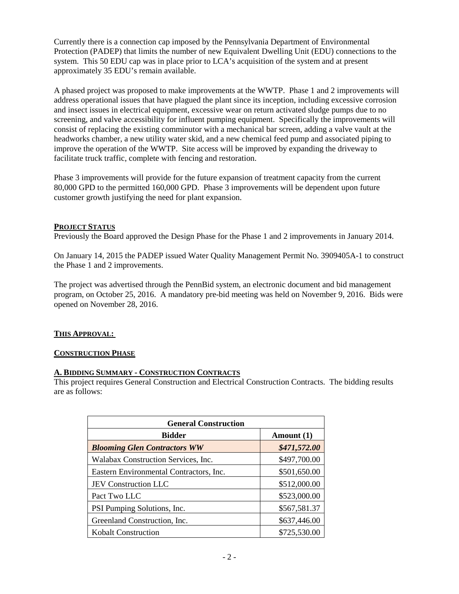Currently there is a connection cap imposed by the Pennsylvania Department of Environmental Protection (PADEP) that limits the number of new Equivalent Dwelling Unit (EDU) connections to the system. This 50 EDU cap was in place prior to LCA's acquisition of the system and at present approximately 35 EDU's remain available.

A phased project was proposed to make improvements at the WWTP. Phase 1 and 2 improvements will address operational issues that have plagued the plant since its inception, including excessive corrosion and insect issues in electrical equipment, excessive wear on return activated sludge pumps due to no screening, and valve accessibility for influent pumping equipment. Specifically the improvements will consist of replacing the existing comminutor with a mechanical bar screen, adding a valve vault at the headworks chamber, a new utility water skid, and a new chemical feed pump and associated piping to improve the operation of the WWTP. Site access will be improved by expanding the driveway to facilitate truck traffic, complete with fencing and restoration.

Phase 3 improvements will provide for the future expansion of treatment capacity from the current 80,000 GPD to the permitted 160,000 GPD. Phase 3 improvements will be dependent upon future customer growth justifying the need for plant expansion.

## **PROJECT STATUS**

Previously the Board approved the Design Phase for the Phase 1 and 2 improvements in January 2014.

On January 14, 2015 the PADEP issued Water Quality Management Permit No. 3909405A-1 to construct the Phase 1 and 2 improvements.

The project was advertised through the PennBid system, an electronic document and bid management program, on October 25, 2016. A mandatory pre-bid meeting was held on November 9, 2016. Bids were opened on November 28, 2016.

# **THIS APPROVAL:**

#### **CONSTRUCTION PHASE**

#### **A. BIDDING SUMMARY - CONSTRUCTION CONTRACTS**

This project requires General Construction and Electrical Construction Contracts. The bidding results are as follows:

| <b>General Construction</b>             |              |  |  |
|-----------------------------------------|--------------|--|--|
| <b>Bidder</b>                           | Amount (1)   |  |  |
| <b>Blooming Glen Contractors WW</b>     | \$471,572.00 |  |  |
| Walabax Construction Services, Inc.     | \$497,700.00 |  |  |
| Eastern Environmental Contractors, Inc. | \$501,650.00 |  |  |
| JEV Construction LLC                    | \$512,000.00 |  |  |
| Pact Two LLC                            | \$523,000.00 |  |  |
| PSI Pumping Solutions, Inc.             | \$567,581.37 |  |  |
| Greenland Construction, Inc.            | \$637,446.00 |  |  |
| <b>Kobalt Construction</b>              | \$725,530.00 |  |  |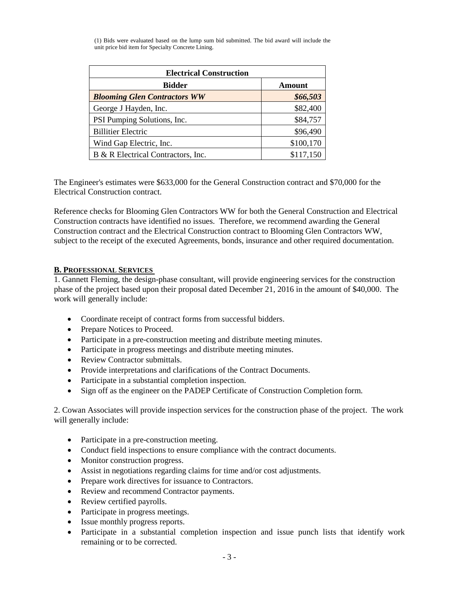(1) Bids were evaluated based on the lump sum bid submitted. The bid award will include the unit price bid item for Specialty Concrete Lining.

| <b>Electrical Construction</b>      |           |  |
|-------------------------------------|-----------|--|
| <b>Bidder</b>                       | Amount    |  |
| <b>Blooming Glen Contractors WW</b> | \$66,503  |  |
| George J Hayden, Inc.               | \$82,400  |  |
| PSI Pumping Solutions, Inc.         | \$84,757  |  |
| <b>Billitier Electric</b>           | \$96,490  |  |
| Wind Gap Electric, Inc.             | \$100,170 |  |
| B & R Electrical Contractors, Inc.  | \$117,150 |  |

The Engineer's estimates were \$633,000 for the General Construction contract and \$70,000 for the Electrical Construction contract.

Reference checks for Blooming Glen Contractors WW for both the General Construction and Electrical Construction contracts have identified no issues. Therefore, we recommend awarding the General Construction contract and the Electrical Construction contract to Blooming Glen Contractors WW, subject to the receipt of the executed Agreements, bonds, insurance and other required documentation.

## **B. PROFESSIONAL SERVICES**

1. Gannett Fleming, the design-phase consultant, will provide engineering services for the construction phase of the project based upon their proposal dated December 21, 2016 in the amount of \$40,000. The work will generally include:

- Coordinate receipt of contract forms from successful bidders.
- Prepare Notices to Proceed.
- Participate in a pre-construction meeting and distribute meeting minutes.
- Participate in progress meetings and distribute meeting minutes.
- Review Contractor submittals.
- Provide interpretations and clarifications of the Contract Documents.
- Participate in a substantial completion inspection.
- Sign off as the engineer on the PADEP Certificate of Construction Completion form.

2. Cowan Associates will provide inspection services for the construction phase of the project. The work will generally include:

- Participate in a pre-construction meeting.
- Conduct field inspections to ensure compliance with the contract documents.
- Monitor construction progress.
- Assist in negotiations regarding claims for time and/or cost adjustments.
- Prepare work directives for issuance to Contractors.
- Review and recommend Contractor payments.
- Review certified payrolls.
- Participate in progress meetings.
- Issue monthly progress reports.
- Participate in a substantial completion inspection and issue punch lists that identify work remaining or to be corrected.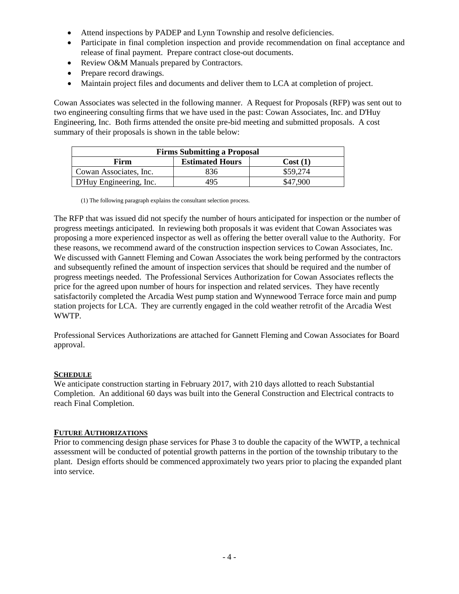- Attend inspections by PADEP and Lynn Township and resolve deficiencies.
- Participate in final completion inspection and provide recommendation on final acceptance and release of final payment. Prepare contract close-out documents.
- Review O&M Manuals prepared by Contractors.
- Prepare record drawings.
- Maintain project files and documents and deliver them to LCA at completion of project.

Cowan Associates was selected in the following manner. A Request for Proposals (RFP) was sent out to two engineering consulting firms that we have used in the past: Cowan Associates, Inc. and D'Huy Engineering, Inc. Both firms attended the onsite pre-bid meeting and submitted proposals. A cost summary of their proposals is shown in the table below:

| <b>Firms Submitting a Proposal</b>        |     |          |  |  |
|-------------------------------------------|-----|----------|--|--|
| <b>Estimated Hours</b><br>Firm<br>Cost(1) |     |          |  |  |
| Cowan Associates, Inc.                    | 836 | \$59,274 |  |  |
| D'Huy Engineering, Inc.                   | 495 | \$47.900 |  |  |

(1) The following paragraph explains the consultant selection process.

The RFP that was issued did not specify the number of hours anticipated for inspection or the number of progress meetings anticipated. In reviewing both proposals it was evident that Cowan Associates was proposing a more experienced inspector as well as offering the better overall value to the Authority. For these reasons, we recommend award of the construction inspection services to Cowan Associates, Inc. We discussed with Gannett Fleming and Cowan Associates the work being performed by the contractors and subsequently refined the amount of inspection services that should be required and the number of progress meetings needed. The Professional Services Authorization for Cowan Associates reflects the price for the agreed upon number of hours for inspection and related services. They have recently satisfactorily completed the Arcadia West pump station and Wynnewood Terrace force main and pump station projects for LCA. They are currently engaged in the cold weather retrofit of the Arcadia West WWTP.

Professional Services Authorizations are attached for Gannett Fleming and Cowan Associates for Board approval.

# **SCHEDULE**

We anticipate construction starting in February 2017, with 210 days allotted to reach Substantial Completion. An additional 60 days was built into the General Construction and Electrical contracts to reach Final Completion.

# **FUTURE AUTHORIZATIONS**

Prior to commencing design phase services for Phase 3 to double the capacity of the WWTP, a technical assessment will be conducted of potential growth patterns in the portion of the township tributary to the plant. Design efforts should be commenced approximately two years prior to placing the expanded plant into service.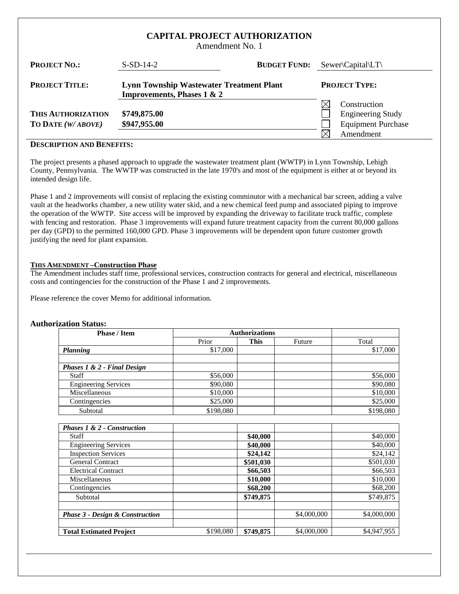## **CAPITAL PROJECT AUTHORIZATION**

Amendment No. 1

| <b>PROJECT NO.:</b>                     | $S-SD-14-2$                                                                              | <b>BUDGET FUND:</b> | $Sewer\$ Capital                                                      |
|-----------------------------------------|------------------------------------------------------------------------------------------|---------------------|-----------------------------------------------------------------------|
| <b>PROJECT TITLE:</b>                   | <b>Lynn Township Wastewater Treatment Plant</b><br><b>Improvements, Phases 1 &amp; 2</b> |                     | <b>PROJECT TYPE:</b>                                                  |
| THIS AUTHORIZATION<br>TO DATE (W/ABOVE) | \$749,875.00<br>\$947,955.00                                                             |                     | Construction<br><b>Engineering Study</b><br><b>Equipment Purchase</b> |
|                                         |                                                                                          |                     | Amendment                                                             |

#### **DESCRIPTION AND BENEFITS:**

The project presents a phased approach to upgrade the wastewater treatment plant (WWTP) in Lynn Township, Lehigh County, Pennsylvania. The WWTP was constructed in the late 1970's and most of the equipment is either at or beyond its intended design life.

Phase 1 and 2 improvements will consist of replacing the existing comminutor with a mechanical bar screen, adding a valve vault at the headworks chamber, a new utility water skid, and a new chemical feed pump and associated piping to improve the operation of the WWTP. Site access will be improved by expanding the driveway to facilitate truck traffic, complete with fencing and restoration. Phase 3 improvements will expand future treatment capacity from the current 80,000 gallons per day (GPD) to the permitted 160,000 GPD. Phase 3 improvements will be dependent upon future customer growth justifying the need for plant expansion.

#### **THIS AMENDMENT –Construction Phase**

The Amendment includes staff time, professional services, construction contracts for general and electrical, miscellaneous costs and contingencies for the construction of the Phase 1 and 2 improvements.

Please reference the cover Memo for additional information.

#### **Authorization Status:**

| <b>Phase / Item</b>         |           | <b>Authorizations</b> |        |           |
|-----------------------------|-----------|-----------------------|--------|-----------|
|                             | Prior     | <b>This</b>           | Future | Total     |
| <b>Planning</b>             | \$17,000  |                       |        | \$17,000  |
|                             |           |                       |        |           |
| Phases 1 & 2 - Final Design |           |                       |        |           |
| Staff                       | \$56,000  |                       |        | \$56,000  |
| <b>Engineering Services</b> | \$90,080  |                       |        | \$90,080  |
| Miscellaneous               | \$10,000  |                       |        | \$10,000  |
| Contingencies               | \$25,000  |                       |        | \$25,000  |
| Subtotal                    | \$198,080 |                       |        | \$198,080 |
|                             |           |                       |        |           |
| Phases 1 & 2 - Construction |           |                       |        |           |

| Pnases 1 & 2 - Construction                |           |           |             |             |
|--------------------------------------------|-----------|-----------|-------------|-------------|
| Staff                                      |           | \$40,000  |             | \$40,000    |
| <b>Engineering Services</b>                |           | \$40,000  |             | \$40,000    |
| <b>Inspection Services</b>                 |           | \$24,142  |             | \$24,142    |
| <b>General Contract</b>                    |           | \$501,030 |             | \$501,030   |
| <b>Electrical Contract</b>                 |           | \$66,503  |             | \$66,503    |
| Miscellaneous                              |           | \$10,000  |             | \$10,000    |
| Contingencies                              |           | \$68,200  |             | \$68,200    |
| Subtotal                                   |           | \$749,875 |             | \$749,875   |
|                                            |           |           |             |             |
| <b>Phase 3 - Design &amp; Construction</b> |           |           | \$4,000,000 | \$4,000,000 |
|                                            |           |           |             |             |
| <b>Total Estimated Project</b>             | \$198,080 | \$749,875 | \$4,000,000 | \$4,947,955 |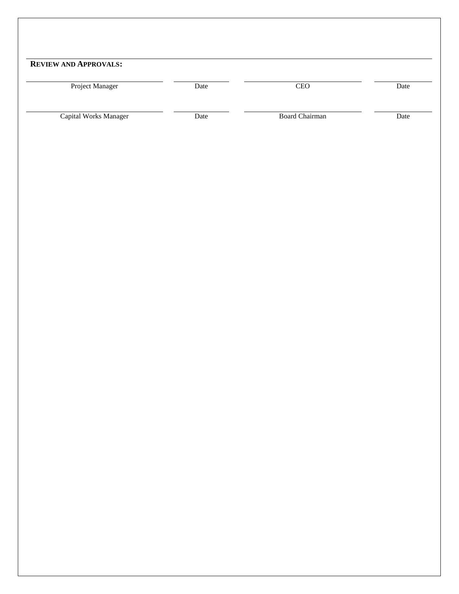| <b>REVIEW AND APPROVALS:</b> |      |                       |      |
|------------------------------|------|-----------------------|------|
| Project Manager              | Date | CEO                   | Date |
| Capital Works Manager        | Date | <b>Board Chairman</b> | Date |
|                              |      |                       |      |
|                              |      |                       |      |
|                              |      |                       |      |
|                              |      |                       |      |
|                              |      |                       |      |
|                              |      |                       |      |
|                              |      |                       |      |
|                              |      |                       |      |
|                              |      |                       |      |
|                              |      |                       |      |
|                              |      |                       |      |
|                              |      |                       |      |
|                              |      |                       |      |
|                              |      |                       |      |
|                              |      |                       |      |
|                              |      |                       |      |
|                              |      |                       |      |
|                              |      |                       |      |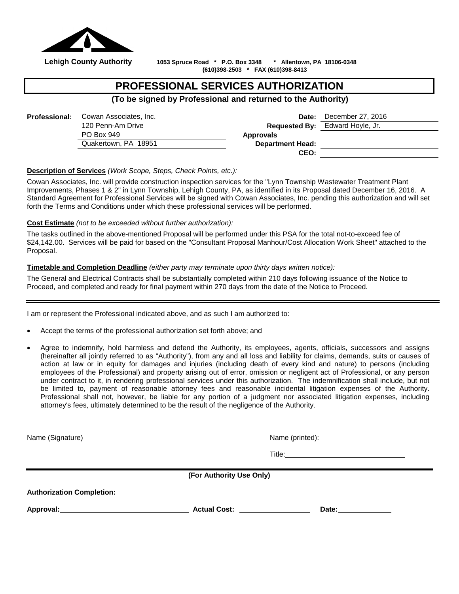

 **Lehigh County Authority 1053 Spruce Road \* P.O. Box 3348 \* Allentown, PA 18106-0348 (610)398-2503 \* FAX (610)398-8413**

# **PROFESSIONAL SERVICES AUTHORIZATION**

**(To be signed by Professional and returned to the Authority)**

| <b>Professional:</b> | Cowan Associates, Inc. | Date:                   | December 27, 2016                      |
|----------------------|------------------------|-------------------------|----------------------------------------|
|                      | 120 Penn-Am Drive      |                         | <b>Requested By:</b> Edward Hoyle, Jr. |
|                      | PO Box 949             | Approvals               |                                        |
|                      | Quakertown, PA 18951   | <b>Department Head:</b> |                                        |
|                      |                        | CEO:                    |                                        |

**Description of Services** *(Work Scope, Steps, Check Points, etc.):*

Cowan Associates, Inc. will provide construction inspection services for the "Lynn Township Wastewater Treatment Plant Improvements, Phases 1 & 2" in Lynn Township, Lehigh County, PA, as identified in its Proposal dated December 16, 2016. A Standard Agreement for Professional Services will be signed with Cowan Associates, Inc. pending this authorization and will set forth the Terms and Conditions under which these professional services will be performed.

#### **Cost Estimate** *(not to be exceeded without further authorization):*

The tasks outlined in the above-mentioned Proposal will be performed under this PSA for the total not-to-exceed fee of \$24,142.00. Services will be paid for based on the "Consultant Proposal Manhour/Cost Allocation Work Sheet" attached to the Proposal.

#### **Timetable and Completion Deadline** *(either party may terminate upon thirty days written notice):*

The General and Electrical Contracts shall be substantially completed within 210 days following issuance of the Notice to Proceed, and completed and ready for final payment within 270 days from the date of the Notice to Proceed.

I am or represent the Professional indicated above, and as such I am authorized to:

- Accept the terms of the professional authorization set forth above; and
- Agree to indemnify, hold harmless and defend the Authority, its employees, agents, officials, successors and assigns (hereinafter all jointly referred to as "Authority"), from any and all loss and liability for claims, demands, suits or causes of action at law or in equity for damages and injuries (including death of every kind and nature) to persons (including employees of the Professional) and property arising out of error, omission or negligent act of Professional, or any person under contract to it, in rendering professional services under this authorization. The indemnification shall include, but not be limited to, payment of reasonable attorney fees and reasonable incidental litigation expenses of the Authority. Professional shall not, however, be liable for any portion of a judgment nor associated litigation expenses, including attorney's fees, ultimately determined to be the result of the negligence of the Authority.

Name (Signature) **Name** (Signature) **Name** (Signature) **Name** (Printed):

Title:

**(For Authority Use Only)**

**Authorization Completion:**

**Approval: Actual Cost: Date:**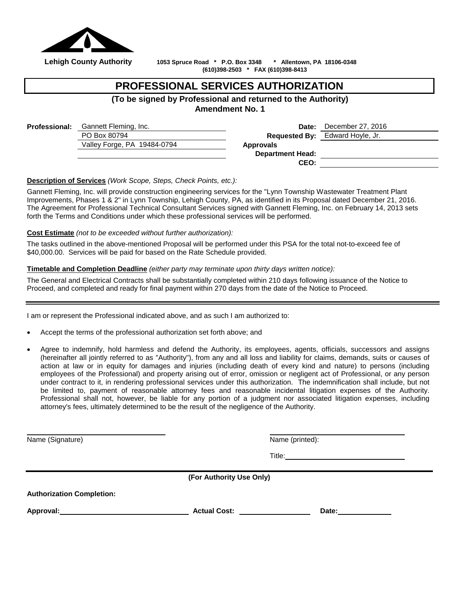

 **Lehigh County Authority 1053 Spruce Road \* P.O. Box 3348 \* Allentown, PA 18106-0348 (610)398-2503 \* FAX (610)398-8413**

# **PROFESSIONAL SERVICES AUTHORIZATION**

**(To be signed by Professional and returned to the Authority)**

**Amendment No. 1**

| <b>Professional:</b> | Gannett Fleming, Inc.       | Date:                   | December 27, 2016                      |
|----------------------|-----------------------------|-------------------------|----------------------------------------|
|                      | PO Box 80794                |                         | <b>Requested By:</b> Edward Hoyle, Jr. |
|                      | Valley Forge, PA 19484-0794 | <b>Approvals</b>        |                                        |
|                      |                             | <b>Department Head:</b> |                                        |
|                      |                             | CEO:                    |                                        |
|                      |                             |                         |                                        |

**Description of Services** *(Work Scope, Steps, Check Points, etc.):*

Gannett Fleming, Inc. will provide construction engineering services for the "Lynn Township Wastewater Treatment Plant Improvements, Phases 1 & 2" in Lynn Township, Lehigh County, PA, as identified in its Proposal dated December 21, 2016. The Agreement for Professional Technical Consultant Services signed with Gannett Fleming, Inc. on February 14, 2013 sets forth the Terms and Conditions under which these professional services will be performed.

#### **Cost Estimate** *(not to be exceeded without further authorization):*

The tasks outlined in the above-mentioned Proposal will be performed under this PSA for the total not-to-exceed fee of \$40,000.00. Services will be paid for based on the Rate Schedule provided.

#### **Timetable and Completion Deadline** *(either party may terminate upon thirty days written notice):*

The General and Electrical Contracts shall be substantially completed within 210 days following issuance of the Notice to Proceed, and completed and ready for final payment within 270 days from the date of the Notice to Proceed.

I am or represent the Professional indicated above, and as such I am authorized to:

- Accept the terms of the professional authorization set forth above; and
- Agree to indemnify, hold harmless and defend the Authority, its employees, agents, officials, successors and assigns (hereinafter all jointly referred to as "Authority"), from any and all loss and liability for claims, demands, suits or causes of action at law or in equity for damages and injuries (including death of every kind and nature) to persons (including employees of the Professional) and property arising out of error, omission or negligent act of Professional, or any person under contract to it, in rendering professional services under this authorization. The indemnification shall include, but not be limited to, payment of reasonable attorney fees and reasonable incidental litigation expenses of the Authority. Professional shall not, however, be liable for any portion of a judgment nor associated litigation expenses, including attorney's fees, ultimately determined to be the result of the negligence of the Authority.

Name (Signature) **Name** (Signature) **Name** (Signature) **Name** (Printed):

Title: **The Community of the Community of the Community of the Community of the Community of the Community of the Community of the Community of the Community of the Community of the Community of the Community of the Commun** 

**(For Authority Use Only)**

**Authorization Completion:**

Approval: Date: Date: Date: Date: Date: Date: Date: Date: Date: Date: Date: Date: Date: Date: Date: Date: Date: Date: Date: Date: Date: Date: Date: Date: Date: Date: Date: Date: Date: Date: Date: Date: Date: Date: Date: Da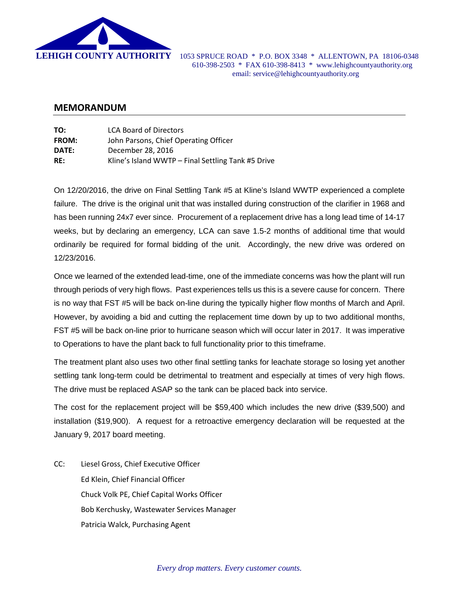

 **LEHIGH COUNTY AUTHORITY** 1053 SPRUCE ROAD \* P.O. BOX 3348 \* ALLENTOWN, PA 18106-0348 610-398-2503 \* FAX 610-398-8413 \* www.lehighcountyauthority.org email: service@lehighcountyauthority.org

## **MEMORANDUM**

| TO:          | <b>LCA Board of Directors</b>                      |
|--------------|----------------------------------------------------|
| <b>FROM:</b> | John Parsons, Chief Operating Officer              |
| DATE:        | December 28, 2016                                  |
| RE:          | Kline's Island WWTP - Final Settling Tank #5 Drive |

On 12/20/2016, the drive on Final Settling Tank #5 at Kline's Island WWTP experienced a complete failure. The drive is the original unit that was installed during construction of the clarifier in 1968 and has been running 24x7 ever since. Procurement of a replacement drive has a long lead time of 14-17 weeks, but by declaring an emergency, LCA can save 1.5-2 months of additional time that would ordinarily be required for formal bidding of the unit. Accordingly, the new drive was ordered on 12/23/2016.

Once we learned of the extended lead-time, one of the immediate concerns was how the plant will run through periods of very high flows. Past experiences tells us this is a severe cause for concern. There is no way that FST #5 will be back on-line during the typically higher flow months of March and April. However, by avoiding a bid and cutting the replacement time down by up to two additional months, FST #5 will be back on-line prior to hurricane season which will occur later in 2017. It was imperative to Operations to have the plant back to full functionality prior to this timeframe.

The treatment plant also uses two other final settling tanks for leachate storage so losing yet another settling tank long-term could be detrimental to treatment and especially at times of very high flows. The drive must be replaced ASAP so the tank can be placed back into service.

The cost for the replacement project will be \$59,400 which includes the new drive (\$39,500) and installation (\$19,900). A request for a retroactive emergency declaration will be requested at the January 9, 2017 board meeting.

CC: Liesel Gross, Chief Executive Officer Ed Klein, Chief Financial Officer Chuck Volk PE, Chief Capital Works Officer Bob Kerchusky, Wastewater Services Manager Patricia Walck, Purchasing Agent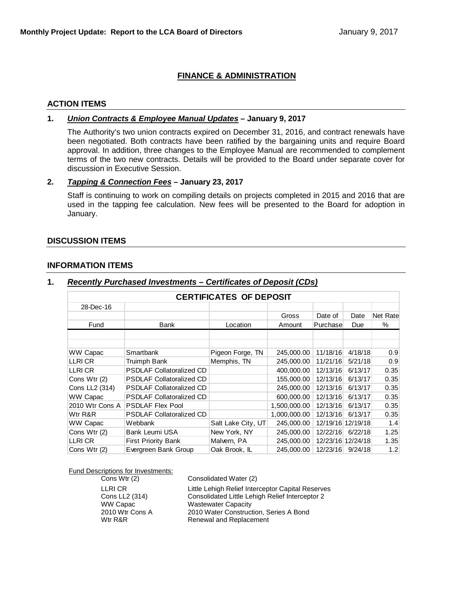# **FINANCE & ADMINISTRATION**

#### **ACTION ITEMS**

#### **1.** *Union Contracts & Employee Manual Updates* **– January 9, 2017**

The Authority's two union contracts expired on December 31, 2016, and contract renewals have been negotiated. Both contracts have been ratified by the bargaining units and require Board approval. In addition, three changes to the Employee Manual are recommended to complement terms of the two new contracts. Details will be provided to the Board under separate cover for discussion in Executive Session.

## **2.** *Tapping & Connection Fees* **– January 23, 2017**

Staff is continuing to work on compiling details on projects completed in 2015 and 2016 that are used in the tapping fee calculation. New fees will be presented to the Board for adoption in January.

#### **DISCUSSION ITEMS**

#### **INFORMATION ITEMS**

| <b>CERTIFICATES OF DEPOSIT</b> |                                 |                    |              |                   |         |          |  |
|--------------------------------|---------------------------------|--------------------|--------------|-------------------|---------|----------|--|
| 28-Dec-16                      |                                 |                    |              |                   |         |          |  |
|                                |                                 |                    | Gross        | Date of           | Date    | Net Rate |  |
| Fund                           | Bank                            | Location           | Amount       | Purchase          | Due     | %        |  |
|                                |                                 |                    |              |                   |         |          |  |
| WW Capac                       | Smartbank                       | Pigeon Forge, TN   | 245.000.00   | 11/18/16          | 4/18/18 | 0.9      |  |
| LLRI CR                        | Truimph Bank                    | Memphis, TN        | 245,000.00   | 11/21/16          | 5/21/18 | 0.9      |  |
| LLRI CR                        | <b>PSDLAF Collatoralized CD</b> |                    | 400,000.00   | 12/13/16          | 6/13/17 | 0.35     |  |
| Cons Wtr (2)                   | <b>PSDLAF Collatoralized CD</b> |                    | 155,000.00   | 12/13/16          | 6/13/17 | 0.35     |  |
| Cons LL2 (314)                 | <b>PSDLAF Collatoralized CD</b> |                    | 245,000.00   | 12/13/16          | 6/13/17 | 0.35     |  |
| WW Capac                       | <b>PSDLAF Collatoralized CD</b> |                    | 600,000.00   | 12/13/16          | 6/13/17 | 0.35     |  |
| 2010 Wtr Cons A                | <b>PSDLAF Flex Pool</b>         |                    | 1,500,000.00 | 12/13/16          | 6/13/17 | 0.35     |  |
| Wtr R&R                        | <b>PSDLAF Collatoralized CD</b> |                    | 1,000,000.00 | 12/13/16          | 6/13/17 | 0.35     |  |
| WW Capac                       | Webbank                         | Salt Lake City, UT | 245,000.00   | 12/19/16 12/19/18 |         | 1.4      |  |
| Cons Wtr (2)                   | Bank Leumi USA                  | New York, NY       | 245,000.00   | 12/22/16          | 6/22/18 | 1.25     |  |
| LLRI CR                        | <b>First Priority Bank</b>      | Malvern, PA        | 245,000.00   | 12/23/16 12/24/18 |         | 1.35     |  |
| Cons Wtr (2)                   | Evergreen Bank Group            | Oak Brook, IL      | 245,000.00   | 12/23/16          | 9/24/18 | 1.2      |  |

# **1.** *Recently Purchased Investments – Certificates of Deposit (CDs)*

**Fund Descriptions for Investments:**<br>Cons Wtr (2)

Consolidated Water (2) LLRI CR Little Lehigh Relief Interceptor Capital Reserves<br>
Cons LL2 (314) Consolidated Little Lehigh Relief Interceptor 2 Consolidated Little Lehigh Relief Interceptor 2 WW Capac Wastewater Capacity 2010 Wtr Cons A 2010 Water Construction, Series A Bond<br>
Wtr R&R<br>
Renewal and Replacement Renewal and Replacement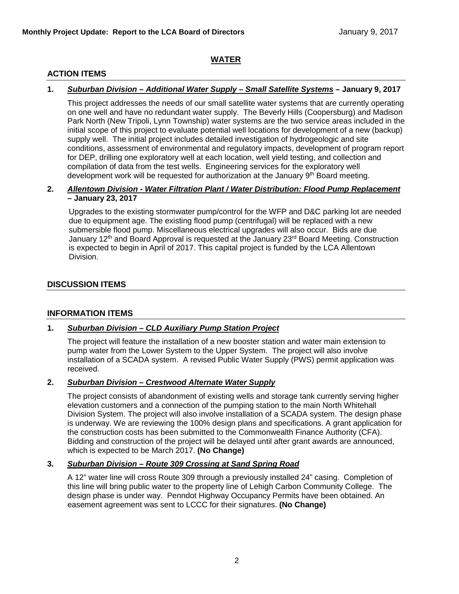# **WATER**

# **ACTION ITEMS**

# **1.** *Suburban Division – Additional Water Supply – Small Satellite Systems* **– January 9, 2017**

This project addresses the needs of our small satellite water systems that are currently operating on one well and have no redundant water supply. The Beverly Hills (Coopersburg) and Madison Park North (New Tripoli, Lynn Township) water systems are the two service areas included in the initial scope of this project to evaluate potential well locations for development of a new (backup) supply well. The initial project includes detailed investigation of hydrogeologic and site conditions, assessment of environmental and regulatory impacts, development of program report for DEP, drilling one exploratory well at each location, well yield testing, and collection and compilation of data from the test wells. Engineering services for the exploratory well development work will be requested for authorization at the January 9<sup>th</sup> Board meeting.

#### **2.** *Allentown Division - Water Filtration Plant / Water Distribution: Flood Pump Replacement* **– January 23, 2017**

Upgrades to the existing stormwater pump/control for the WFP and D&C parking lot are needed due to equipment age. The existing flood pump (centrifugal) will be replaced with a new submersible flood pump. Miscellaneous electrical upgrades will also occur. Bids are due January 12<sup>th</sup> and Board Approval is requested at the January 23<sup>rd</sup> Board Meeting. Construction is expected to begin in April of 2017. This capital project is funded by the LCA Allentown Division.

# **DISCUSSION ITEMS**

# **INFORMATION ITEMS**

# **1.** *Suburban Division – CLD Auxiliary Pump Station Project*

The project will feature the installation of a new booster station and water main extension to pump water from the Lower System to the Upper System. The project will also involve installation of a SCADA system. A revised Public Water Supply (PWS) permit application was received.

# **2.** *Suburban Division – Crestwood Alternate Water Supply*

The project consists of abandonment of existing wells and storage tank currently serving higher elevation customers and a connection of the pumping station to the main North Whitehall Division System. The project will also involve installation of a SCADA system. The design phase is underway. We are reviewing the 100% design plans and specifications. A grant application for the construction costs has been submitted to the Commonwealth Finance Authority (CFA). Bidding and construction of the project will be delayed until after grant awards are announced, which is expected to be March 2017. **(No Change)**

# **3.** *Suburban Division – Route 309 Crossing at Sand Spring Road*

A 12" water line will cross Route 309 through a previously installed 24" casing. Completion of this line will bring public water to the property line of Lehigh Carbon Community College. The design phase is under way. Penndot Highway Occupancy Permits have been obtained. An easement agreement was sent to LCCC for their signatures. **(No Change)**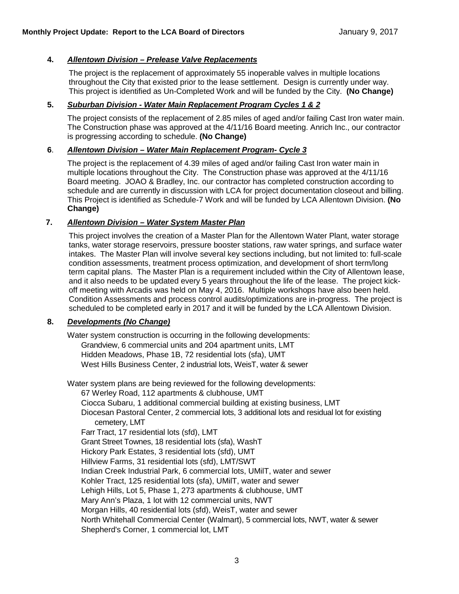## **4.** *Allentown Division – Prelease Valve Replacements*

The project is the replacement of approximately 55 inoperable valves in multiple locations throughout the City that existed prior to the lease settlement. Design is currently under way. This project is identified as Un-Completed Work and will be funded by the City. **(No Change)**

## **5.** *Suburban Division - Water Main Replacement Program Cycles 1 & 2*

The project consists of the replacement of 2.85 miles of aged and/or failing Cast Iron water main. The Construction phase was approved at the 4/11/16 Board meeting. Anrich Inc., our contractor is progressing according to schedule. **(No Change)**

#### **6**. *Allentown Division – Water Main Replacement Program- Cycle 3*

The project is the replacement of 4.39 miles of aged and/or failing Cast Iron water main in multiple locations throughout the City. The Construction phase was approved at the 4/11/16 Board meeting. JOAO & Bradley, Inc. our contractor has completed construction according to schedule and are currently in discussion with LCA for project documentation closeout and billing. This Project is identified as Schedule-7 Work and will be funded by LCA Allentown Division. **(No Change)**

#### **7.** *Allentown Division – Water System Master Plan*

This project involves the creation of a Master Plan for the Allentown Water Plant, water storage tanks, water storage reservoirs, pressure booster stations, raw water springs, and surface water intakes. The Master Plan will involve several key sections including, but not limited to: full-scale condition assessments, treatment process optimization, and development of short term/long term capital plans. The Master Plan is a requirement included within the City of Allentown lease, and it also needs to be updated every 5 years throughout the life of the lease. The project kickoff meeting with Arcadis was held on May 4, 2016. Multiple workshops have also been held. Condition Assessments and process control audits/optimizations are in-progress. The project is scheduled to be completed early in 2017 and it will be funded by the LCA Allentown Division.

# **8.** *Developments (No Change)*

Water system construction is occurring in the following developments: Grandview, 6 commercial units and 204 apartment units, LMT Hidden Meadows, Phase 1B, 72 residential lots (sfa), UMT West Hills Business Center, 2 industrial lots, WeisT, water & sewer

Water system plans are being reviewed for the following developments: 67 Werley Road, 112 apartments & clubhouse, UMT Ciocca Subaru, 1 additional commercial building at existing business, LMT Diocesan Pastoral Center, 2 commercial lots, 3 additional lots and residual lot for existing cemetery, LMT Farr Tract, 17 residential lots (sfd), LMT Grant Street Townes, 18 residential lots (sfa), WashT Hickory Park Estates, 3 residential lots (sfd), UMT Hillview Farms, 31 residential lots (sfd), LMT/SWT Indian Creek Industrial Park, 6 commercial lots, UMilT, water and sewer Kohler Tract, 125 residential lots (sfa), UMilT, water and sewer Lehigh Hills, Lot 5, Phase 1, 273 apartments & clubhouse, UMT Mary Ann's Plaza, 1 lot with 12 commercial units, NWT Morgan Hills, 40 residential lots (sfd), WeisT, water and sewer North Whitehall Commercial Center (Walmart), 5 commercial lots, NWT, water & sewer Shepherd's Corner, 1 commercial lot, LMT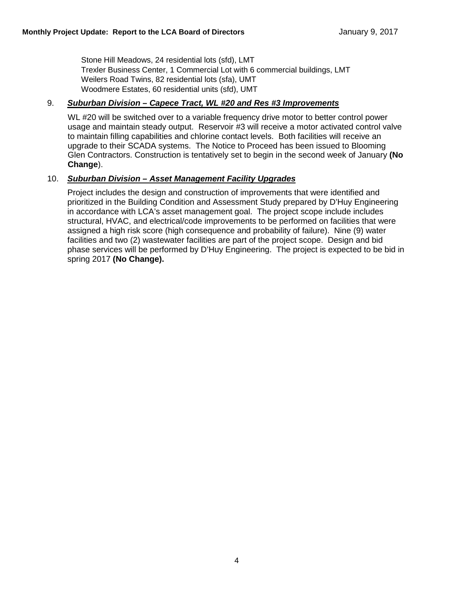Stone Hill Meadows, 24 residential lots (sfd), LMT Trexler Business Center, 1 Commercial Lot with 6 commercial buildings, LMT Weilers Road Twins, 82 residential lots (sfa), UMT Woodmere Estates, 60 residential units (sfd), UMT

# 9. *Suburban Division – Capece Tract, WL #20 and Res #3 Improvements*

WL #20 will be switched over to a variable frequency drive motor to better control power usage and maintain steady output. Reservoir #3 will receive a motor activated control valve to maintain filling capabilities and chlorine contact levels. Both facilities will receive an upgrade to their SCADA systems. The Notice to Proceed has been issued to Blooming Glen Contractors. Construction is tentatively set to begin in the second week of January **(No Change**).

## 10. *Suburban Division – Asset Management Facility Upgrades*

Project includes the design and construction of improvements that were identified and prioritized in the Building Condition and Assessment Study prepared by D'Huy Engineering in accordance with LCA's asset management goal. The project scope include includes structural, HVAC, and electrical/code improvements to be performed on facilities that were assigned a high risk score (high consequence and probability of failure). Nine (9) water facilities and two (2) wastewater facilities are part of the project scope. Design and bid phase services will be performed by D'Huy Engineering. The project is expected to be bid in spring 2017 **(No Change).**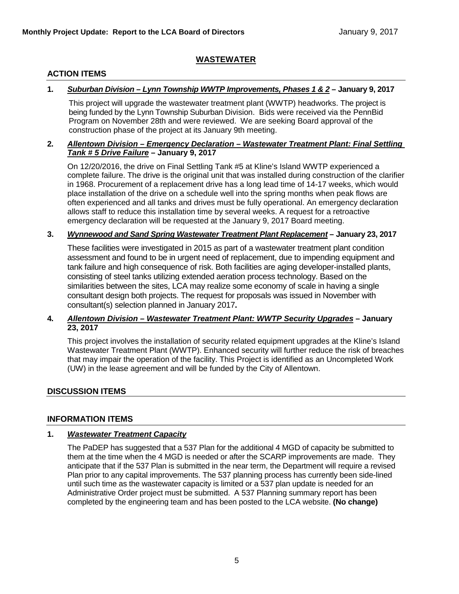# **WASTEWATER**

# **ACTION ITEMS**

## **1.** *Suburban Division – Lynn Township WWTP Improvements, Phases 1 & 2* **– January 9, 2017**

This project will upgrade the wastewater treatment plant (WWTP) headworks. The project is being funded by the Lynn Township Suburban Division. Bids were received via the PennBid Program on November 28th and were reviewed. We are seeking Board approval of the construction phase of the project at its January 9th meeting.

#### **2.** *Allentown Division – Emergency Declaration – Wastewater Treatment Plant: Final Settling Tank # 5 Drive Failure* **– January 9, 2017**

On 12/20/2016, the drive on Final Settling Tank #5 at Kline's Island WWTP experienced a complete failure. The drive is the original unit that was installed during construction of the clarifier in 1968. Procurement of a replacement drive has a long lead time of 14-17 weeks, which would place installation of the drive on a schedule well into the spring months when peak flows are often experienced and all tanks and drives must be fully operational. An emergency declaration allows staff to reduce this installation time by several weeks. A request for a retroactive emergency declaration will be requested at the January 9, 2017 Board meeting.

#### **3.** *Wynnewood and Sand Spring Wastewater Treatment Plant Replacement* **– January 23, 2017**

These facilities were investigated in 2015 as part of a wastewater treatment plant condition assessment and found to be in urgent need of replacement, due to impending equipment and tank failure and high consequence of risk. Both facilities are aging developer-installed plants, consisting of steel tanks utilizing extended aeration process technology. Based on the similarities between the sites, LCA may realize some economy of scale in having a single consultant design both projects. The request for proposals was issued in November with consultant(s) selection planned in January 2017**.** 

## **4.** *Allentown Division – Wastewater Treatment Plant: WWTP Security Upgrades* **– January 23, 2017**

This project involves the installation of security related equipment upgrades at the Kline's Island Wastewater Treatment Plant (WWTP). Enhanced security will further reduce the risk of breaches that may impair the operation of the facility. This Project is identified as an Uncompleted Work (UW) in the lease agreement and will be funded by the City of Allentown.

# **DISCUSSION ITEMS**

#### **INFORMATION ITEMS**

#### **1.** *Wastewater Treatment Capacity*

The PaDEP has suggested that a 537 Plan for the additional 4 MGD of capacity be submitted to them at the time when the 4 MGD is needed or after the SCARP improvements are made. They anticipate that if the 537 Plan is submitted in the near term, the Department will require a revised Plan prior to any capital improvements. The 537 planning process has currently been side-lined until such time as the wastewater capacity is limited or a 537 plan update is needed for an Administrative Order project must be submitted. A 537 Planning summary report has been completed by the engineering team and has been posted to the LCA website. **(No change)**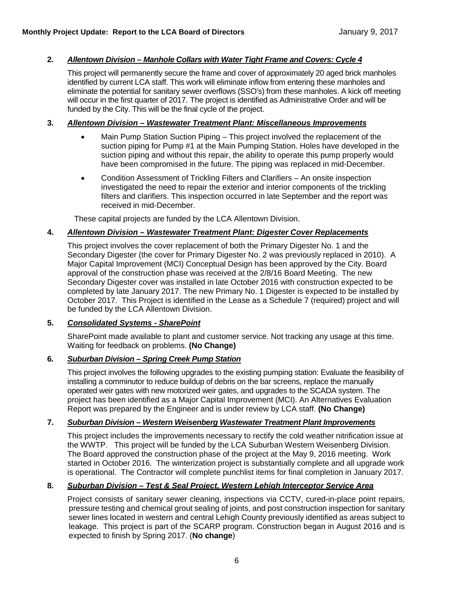## **2.** *Allentown Division – Manhole Collars with Water Tight Frame and Covers: Cycle 4*

This project will permanently secure the frame and cover of approximately 20 aged brick manholes identified by current LCA staff. This work will eliminate inflow from entering these manholes and eliminate the potential for sanitary sewer overflows (SSO's) from these manholes. A kick off meeting will occur in the first quarter of 2017. The project is identified as Administrative Order and will be funded by the City. This will be the final cycle of the project.

#### **3.** *Allentown Division – Wastewater Treatment Plant: Miscellaneous Improvements*

- Main Pump Station Suction Piping This project involved the replacement of the suction piping for Pump #1 at the Main Pumping Station. Holes have developed in the suction piping and without this repair, the ability to operate this pump properly would have been compromised in the future. The piping was replaced in mid-December.
- Condition Assessment of Trickling Filters and Clarifiers An onsite inspection investigated the need to repair the exterior and interior components of the trickling filters and clarifiers. This inspection occurred in late September and the report was received in mid-December.

These capital projects are funded by the LCA Allentown Division.

## **4.** *Allentown Division – Wastewater Treatment Plant: Digester Cover Replacements*

This project involves the cover replacement of both the Primary Digester No. 1 and the Secondary Digester (the cover for Primary Digester No. 2 was previously replaced in 2010). A Major Capital Improvement (MCI) Conceptual Design has been approved by the City. Board approval of the construction phase was received at the 2/8/16 Board Meeting. The new Secondary Digester cover was installed in late October 2016 with construction expected to be completed by late January 2017. The new Primary No. 1 Digester is expected to be installed by October 2017. This Project is identified in the Lease as a Schedule 7 (required) project and will be funded by the LCA Allentown Division.

#### **5.** *Consolidated Systems - SharePoint*

SharePoint made available to plant and customer service. Not tracking any usage at this time. Waiting for feedback on problems. **(No Change)**

# **6.** *Suburban Division – Spring Creek Pump Station*

This project involves the following upgrades to the existing pumping station: Evaluate the feasibility of installing a comminutor to reduce buildup of debris on the bar screens, replace the manually operated weir gates with new motorized weir gates, and upgrades to the SCADA system. The project has been identified as a Major Capital Improvement (MCI). An Alternatives Evaluation Report was prepared by the Engineer and is under review by LCA staff. **(No Change)**

# **7.** *Suburban Division – Western Weisenberg Wastewater Treatment Plant Improvements*

This project includes the improvements necessary to rectify the cold weather nitrification issue at the WWTP. This project will be funded by the LCA Suburban Western Weisenberg Division. The Board approved the construction phase of the project at the May 9, 2016 meeting. Work started in October 2016. The winterization project is substantially complete and all upgrade work is operational. The Contractor will complete punchlist items for final completion in January 2017.

# **8.** *Suburban Division – Test & Seal Project, Western Lehigh Interceptor Service Area*

Project consists of sanitary sewer cleaning, inspections via CCTV, cured-in-place point repairs, pressure testing and chemical grout sealing of joints, and post construction inspection for sanitary sewer lines located in western and central Lehigh County previously identified as areas subject to leakage. This project is part of the SCARP program. Construction began in August 2016 and is expected to finish by Spring 2017. (**No change**)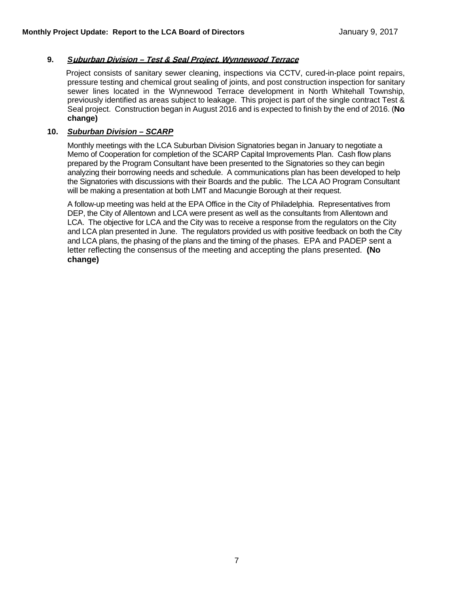#### **9.** *S***uburban Division – Test & Seal Project, Wynnewood Terrace**

Project consists of sanitary sewer cleaning, inspections via CCTV, cured-in-place point repairs, pressure testing and chemical grout sealing of joints, and post construction inspection for sanitary sewer lines located in the Wynnewood Terrace development in North Whitehall Township, previously identified as areas subject to leakage. This project is part of the single contract Test & Seal project. Construction began in August 2016 and is expected to finish by the end of 2016. (**No change)**

#### **10.** *Suburban Division – SCARP*

Monthly meetings with the LCA Suburban Division Signatories began in January to negotiate a Memo of Cooperation for completion of the SCARP Capital Improvements Plan. Cash flow plans prepared by the Program Consultant have been presented to the Signatories so they can begin analyzing their borrowing needs and schedule. A communications plan has been developed to help the Signatories with discussions with their Boards and the public. The LCA AO Program Consultant will be making a presentation at both LMT and Macungie Borough at their request.

A follow-up meeting was held at the EPA Office in the City of Philadelphia. Representatives from DEP, the City of Allentown and LCA were present as well as the consultants from Allentown and LCA. The objective for LCA and the City was to receive a response from the regulators on the City and LCA plan presented in June. The regulators provided us with positive feedback on both the City and LCA plans, the phasing of the plans and the timing of the phases. EPA and PADEP sent a letter reflecting the consensus of the meeting and accepting the plans presented. **(No change)**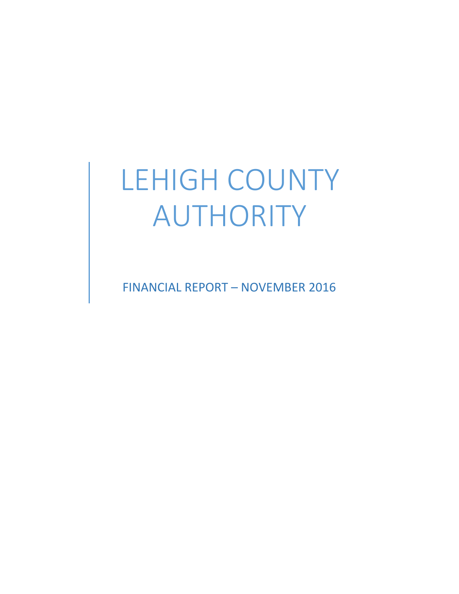# LEHIGH COUNTY AUTHORITY

FINANCIAL REPORT – NOVEMBER 2016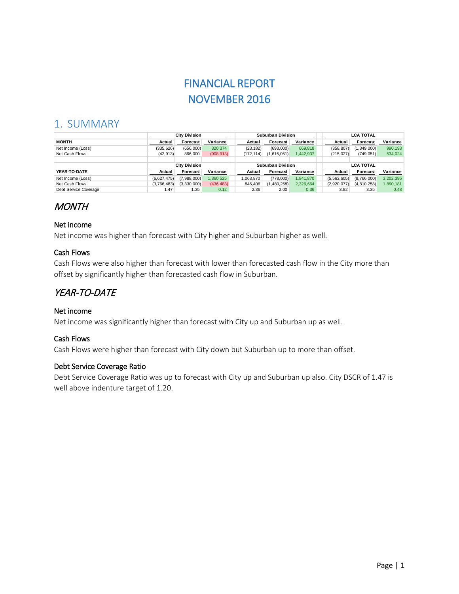# FINANCIAL REPORT NOVEMBER 2016

# 1. SUMMARY

|                       | <b>City Division</b> |                      |            | Suburban Division |                   |             |           |                  | <b>LCA TOTAL</b> |                 |           |
|-----------------------|----------------------|----------------------|------------|-------------------|-------------------|-------------|-----------|------------------|------------------|-----------------|-----------|
| <b>MONTH</b>          | Actual               | Forecast             | Variance   |                   | Actual            | Forecast    | Variance  |                  | Actual           | <b>Forecast</b> | Variance  |
| Net Income (Loss)     | (335, 626)           | (656,000)            | 320,374    |                   | (23, 182)         | (693,000)   | 669,818   |                  | (358, 807)       | (1,349,000)     | 990,193   |
| Net Cash Flows        | (42, 913)            | 866,000              | (908, 913) |                   | (172, 114)        | (1,615,051) | 1,442,937 |                  | (215, 027)       | (749, 051)      | 534,024   |
|                       |                      |                      |            |                   |                   |             |           |                  |                  |                 |           |
|                       |                      | <b>City Division</b> |            |                   | Suburban Division |             |           | <b>LCA TOTAL</b> |                  |                 |           |
| YEAR-TO-DATE          | Actual               | Forecast             | Variance   |                   | Actual            | Forecast    | Variance  |                  | Actual           | <b>Forecast</b> | Variance  |
| Net Income (Loss)     | (6.627.475)          | (7,988,000)          | 1.360.525  |                   | 1.063.870         | (778.000)   | 1.841.870 |                  | (5, 563, 605)    | (8,766,000)     | 3,202,395 |
| Net Cash Flows        | (3,766,483)          | (3.330.000)          | (436, 483) |                   | 846,406           | (1,480,258) | 2,326,664 |                  | (2.920.077)      | (4,810,258)     | 1,890,181 |
| Debt Service Coverage | 1.47                 | 1.35                 | 0.12       |                   | 2.36              | 2.00        | 0.36      |                  | 3.82             | 3.35            | 0.48      |

# **MONTH**

## Net income

Net income was higher than forecast with City higher and Suburban higher as well.

# Cash Flows

Cash Flows were also higher than forecast with lower than forecasted cash flow in the City more than offset by significantly higher than forecasted cash flow in Suburban.

# YEAR-TO-DATE

#### Net income

Net income was significantly higher than forecast with City up and Suburban up as well.

## Cash Flows

Cash Flows were higher than forecast with City down but Suburban up to more than offset.

#### Debt Service Coverage Ratio

Debt Service Coverage Ratio was up to forecast with City up and Suburban up also. City DSCR of 1.47 is well above indenture target of 1.20.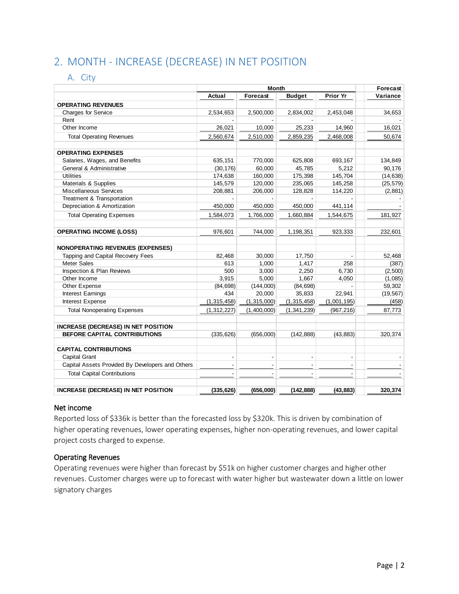# 2. MONTH - INCREASE (DECREASE) IN NET POSITION

## A. City

|                                                  |                | Forecast                 |                |                          |           |
|--------------------------------------------------|----------------|--------------------------|----------------|--------------------------|-----------|
|                                                  | Actual         | Forecast                 | <b>Budget</b>  | Prior Yr                 | Variance  |
| <b>OPERATING REVENUES</b>                        |                |                          |                |                          |           |
| <b>Charges for Service</b>                       | 2,534,653      | 2,500,000                | 2,834,002      | 2,453,048                | 34,653    |
| Rent                                             |                |                          |                |                          |           |
| Other Income                                     | 26,021         | 10,000                   | 25,233         | 14,960                   | 16,021    |
| <b>Total Operating Revenues</b>                  | 2,560,674      | 2,510,000                | 2,859,235      | 2,468,008                | 50,674    |
| <b>OPERATING EXPENSES</b>                        |                |                          |                |                          |           |
| Salaries, Wages, and Benefits                    | 635,151        | 770,000                  | 625.808        | 693.167                  | 134.849   |
| General & Administrative                         | (30, 176)      | 60,000                   | 45.785         | 5,212                    | 90,176    |
| <b>Utilities</b>                                 | 174,638        | 160,000                  | 175,398        | 145,704                  | (14, 638) |
| Materials & Supplies                             | 145,579        | 120,000                  | 235,065        | 145,258                  | (25, 579) |
| <b>Miscellaneous Services</b>                    | 208,881        | 206,000                  | 128,828        | 114,220                  | (2,881)   |
| Treatment & Transportation                       |                |                          |                |                          |           |
| Depreciation & Amortization                      | 450,000        | 450,000                  | 450,000        | 441,114                  |           |
| <b>Total Operating Expenses</b>                  | 1,584,073      | 1,766,000                | 1,660,884      | 1,544,675                | 181,927   |
| <b>OPERATING INCOME (LOSS)</b>                   | 976,601        | 744,000                  | 1,198,351      | 923,333                  | 232,601   |
| <b>NONOPERATING REVENUES (EXPENSES)</b>          |                |                          |                |                          |           |
| Tapping and Capital Recovery Fees                | 82.468         | 30.000                   | 17,750         |                          | 52.468    |
| <b>Meter Sales</b>                               | 613            | 1,000                    | 1,417          | 258                      | (387)     |
| <b>Inspection &amp; Plan Reviews</b>             | 500            | 3,000                    | 2,250          | 6,730                    | (2,500)   |
| Other Income                                     | 3,915          | 5,000                    | 1,667          | 4,050                    | (1,085)   |
| Other Expense                                    | (84, 698)      | (144,000)                | (84, 698)      | ÷,                       | 59,302    |
| Interest Earnings                                | 434            | 20,000                   | 35,833         | 22,941                   | (19, 567) |
| Interest Expense                                 | (1, 315, 458)  | (1,315,000)              | (1, 315, 458)  | (1,001,195)              | (458)     |
| <b>Total Nonoperating Expenses</b>               | (1,312,227)    | (1,400,000)              | (1, 341, 239)  | (967, 216)               | 87,773    |
| <b>INCREASE (DECREASE) IN NET POSITION</b>       |                |                          |                |                          |           |
| BEFORE CAPITAL CONTRIBUTIONS                     | (335, 626)     | (656,000)                | (142, 888)     | (43, 883)                | 320,374   |
| <b>CAPITAL CONTRIBUTIONS</b>                     |                |                          |                |                          |           |
| Capital Grant                                    | $\blacksquare$ | $\overline{\phantom{a}}$ | $\overline{a}$ | $\overline{\phantom{a}}$ |           |
| Capital Assets Provided By Developers and Others |                |                          |                |                          |           |
| <b>Total Capital Contributions</b>               |                |                          |                |                          |           |
| <b>INCREASE (DECREASE) IN NET POSITION</b>       | (335, 626)     | (656,000)                | (142, 888)     | (43, 883)                | 320,374   |

#### Net income

Reported loss of \$336k is better than the forecasted loss by \$320k. This is driven by combination of higher operating revenues, lower operating expenses, higher non-operating revenues, and lower capital project costs charged to expense.

#### Operating Revenues

Operating revenues were higher than forecast by \$51k on higher customer charges and higher other revenues. Customer charges were up to forecast with water higher but wastewater down a little on lower signatory charges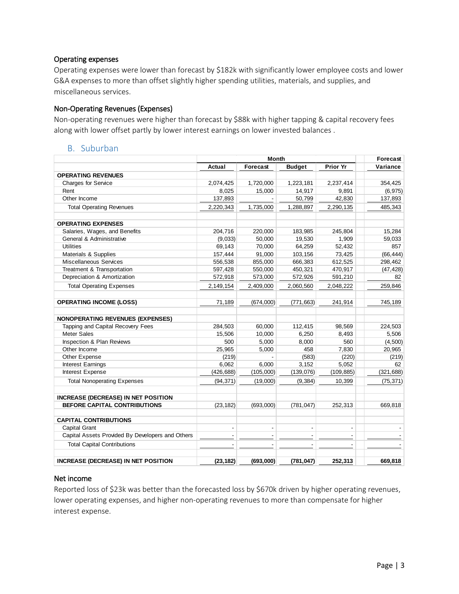#### Operating expenses

Operating expenses were lower than forecast by \$182k with significantly lower employee costs and lower G&A expenses to more than offset slightly higher spending utilities, materials, and supplies, and miscellaneous services.

#### Non-Operating Revenues (Expenses)

Non-operating revenues were higher than forecast by \$88k with higher tapping & capital recovery fees along with lower offset partly by lower interest earnings on lower invested balances .

#### B. Suburban

|                                                  |                | Forecast       |                |                 |            |
|--------------------------------------------------|----------------|----------------|----------------|-----------------|------------|
|                                                  | Actual         | Forecast       | <b>Budget</b>  | <b>Prior Yr</b> | Variance   |
| <b>OPERATING REVENUES</b>                        |                |                |                |                 |            |
| <b>Charges for Service</b>                       | 2,074,425      | 1,720,000      | 1,223,181      | 2,237,414       | 354,425    |
| Rent                                             | 8,025          | 15,000         | 14,917         | 9,891           | (6,975)    |
| Other Income                                     | 137,893        |                | 50,799         | 42,830          | 137,893    |
| <b>Total Operating Revenues</b>                  | 2,220,343      | 1,735,000      | 1,288,897      | 2,290,135       | 485,343    |
| <b>OPERATING EXPENSES</b>                        |                |                |                |                 |            |
| Salaries, Wages, and Benefits                    | 204,716        | 220,000        | 183,985        | 245,804         | 15,284     |
| General & Administrative                         | (9,033)        | 50,000         | 19,530         | 1,909           | 59,033     |
| <b>Utilities</b>                                 | 69,143         | 70,000         | 64,259         | 52,432          | 857        |
| Materials & Supplies                             | 157,444        | 91,000         | 103,156        | 73,425          | (66, 444)  |
| <b>Miscellaneous Services</b>                    | 556,538        | 855,000        | 666,383        | 612,525         | 298,462    |
| Treatment & Transportation                       | 597,428        | 550,000        | 450,321        | 470,917         | (47, 428)  |
| Depreciation & Amortization                      | 572,918        | 573,000        | 572,926        | 591,210         | 82         |
| <b>Total Operating Expenses</b>                  | 2,149,154      | 2,409,000      | 2,060,560      | 2,048,222       | 259,846    |
| <b>OPERATING INCOME (LOSS)</b>                   | 71,189         | (674,000)      | (771, 663)     | 241,914         | 745,189    |
| <b>NONOPERATING REVENUES (EXPENSES)</b>          |                |                |                |                 |            |
| Tapping and Capital Recovery Fees                | 284,503        | 60,000         | 112,415        | 98,569          | 224,503    |
| <b>Meter Sales</b>                               | 15,506         | 10,000         | 6,250          | 8,493           | 5,506      |
| Inspection & Plan Reviews                        | 500            | 5,000          | 8,000          | 560             | (4,500)    |
| Other Income                                     | 25,965         | 5,000          | 458            | 7,830           | 20,965     |
| Other Expense                                    | (219)          |                | (583)          | (220)           | (219)      |
| Interest Earnings                                | 6,062          | 6,000          | 3,152          | 5,052           | 62         |
| <b>Interest Expense</b>                          | (426, 688)     | (105,000)      | (139,076)      | (109, 885)      | (321, 688) |
| <b>Total Nonoperating Expenses</b>               | (94, 371)      | (19,000)       | (9, 384)       | 10,399          | (75, 371)  |
| <b>INCREASE (DECREASE) IN NET POSITION</b>       |                |                |                |                 |            |
| <b>BEFORE CAPITAL CONTRIBUTIONS</b>              | (23, 182)      | (693,000)      | (781, 047)     | 252,313         | 669,818    |
| <b>CAPITAL CONTRIBUTIONS</b>                     |                |                |                |                 |            |
| Capital Grant                                    | $\blacksquare$ | $\blacksquare$ | $\blacksquare$ | $\blacksquare$  |            |
| Capital Assets Provided By Developers and Others |                | Ĭ.             |                |                 |            |
| <b>Total Capital Contributions</b>               |                |                |                |                 |            |
| <b>INCREASE (DECREASE) IN NET POSITION</b>       | (23, 182)      | (693,000)      | (781, 047)     | 252,313         | 669,818    |

## Net income

Reported loss of \$23k was better than the forecasted loss by \$670k driven by higher operating revenues, lower operating expenses, and higher non-operating revenues to more than compensate for higher interest expense.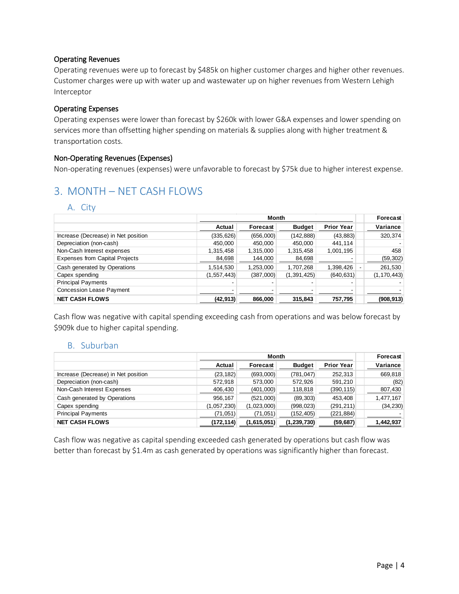#### Operating Revenues

Operating revenues were up to forecast by \$485k on higher customer charges and higher other revenues. Customer charges were up with water up and wastewater up on higher revenues from Western Lehigh Interceptor

#### Operating Expenses

Operating expenses were lower than forecast by \$260k with lower G&A expenses and lower spending on services more than offsetting higher spending on materials & supplies along with higher treatment & transportation costs.

#### Non-Operating Revenues (Expenses)

Non-operating revenues (expenses) were unfavorable to forecast by \$75k due to higher interest expense.

# 3. MONTH – NET CASH FLOWS

#### A. City

|                                       |               |           | Forecast      |                   |               |
|---------------------------------------|---------------|-----------|---------------|-------------------|---------------|
|                                       | Actual        | Forecast  | <b>Budget</b> | <b>Prior Year</b> | Variance      |
| Increase (Decrease) in Net position   | (335, 626)    | (656,000) | (142, 888)    | (43, 883)         | 320,374       |
| Depreciation (non-cash)               | 450,000       | 450,000   | 450,000       | 441,114           |               |
| Non-Cash Interest expenses            | 1,315,458     | 1,315,000 | 1,315,458     | 1,001,195         | 458           |
| <b>Expenses from Capital Projects</b> | 84,698        | 144,000   | 84,698        |                   | (59, 302)     |
| Cash generated by Operations          | 1,514,530     | 1,253,000 | 1,707,268     | 1,398,426         | 261,530       |
| Capex spending                        | (1, 557, 443) | (387,000) | (1, 391, 425) | (640, 631)        | (1, 170, 443) |
| <b>Principal Payments</b>             |               |           |               |                   |               |
| <b>Concession Lease Payment</b>       |               |           |               |                   |               |
| <b>NET CASH FLOWS</b>                 | (42, 913)     | 866,000   | 315,843       | 757,795           | (908, 913)    |

Cash flow was negative with capital spending exceeding cash from operations and was below forecast by \$909k due to higher capital spending.

#### B. Suburban

|                                     |             | Month       |               |                   |           |
|-------------------------------------|-------------|-------------|---------------|-------------------|-----------|
|                                     | Actual      | Forecast    | <b>Budget</b> | <b>Prior Year</b> | Variance  |
| Increase (Decrease) in Net position | (23, 182)   | (693,000)   | (781, 047)    | 252,313           | 669,818   |
| Depreciation (non-cash)             | 572,918     | 573,000     | 572,926       | 591,210           | (82)      |
| Non-Cash Interest Expenses          | 406,430     | (401,000)   | 118,818       | (390, 115)        | 807,430   |
| Cash generated by Operations        | 956.167     | (521,000)   | (89, 303)     | 453.408           | 1,477,167 |
| Capex spending                      | (1,057,230) | (1,023,000) | (998, 023)    | (291, 211)        | (34, 230) |
| <b>Principal Payments</b>           | (71, 051)   | (71, 051)   | (152, 405)    | (221, 884)        |           |
| <b>NET CASH FLOWS</b>               | (172,114)   | (1,615,051) | (1, 239, 730) | (59, 687)         | 1,442,937 |

Cash flow was negative as capital spending exceeded cash generated by operations but cash flow was better than forecast by \$1.4m as cash generated by operations was significantly higher than forecast.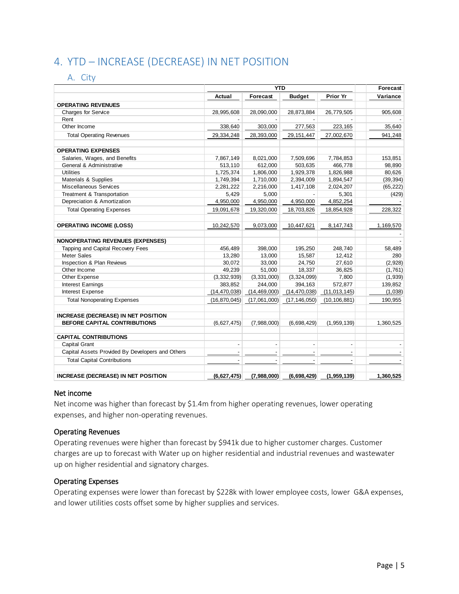# 4. YTD – INCREASE (DECREASE) IN NET POSITION

## A. City

|                                                  |                          | <b>YTD</b>               |                          |                                 | Forecast  |
|--------------------------------------------------|--------------------------|--------------------------|--------------------------|---------------------------------|-----------|
|                                                  | Actual                   | Forecast                 | <b>Budget</b>            | Prior Yr                        | Variance  |
| <b>OPERATING REVENUES</b>                        |                          |                          |                          |                                 |           |
| <b>Charges for Service</b>                       | 28,995,608               | 28,090,000               | 28,873,884               | 26,779,505                      | 905,608   |
| Rent                                             |                          |                          |                          |                                 |           |
| Other Income                                     | 338,640                  | 303,000                  | 277,563                  | 223,165                         | 35,640    |
| <b>Total Operating Revenues</b>                  | 29,334,248               | 28,393,000               | 29, 151, 447             | 27,002,670                      | 941,248   |
| <b>OPERATING EXPENSES</b>                        |                          |                          |                          |                                 |           |
| Salaries, Wages, and Benefits                    | 7,867,149                | 8,021,000                | 7,509,696                | 7,784,853                       | 153,851   |
| General & Administrative                         | 513,110                  | 612,000                  | 503,635                  | 466,778                         | 98,890    |
| <b>Utilities</b>                                 | 1,725,374                | 1,806,000                | 1,929,378                | 1,826,988                       | 80,626    |
| Materials & Supplies                             | 1,749,394                | 1,710,000                | 2,394,009                | 1,894,547                       | (39, 394) |
| Miscellaneous Services                           | 2,281,222                | 2,216,000                | 1,417,108                | 2,024,207                       | (65, 222) |
| Treatment & Transportation                       | 5,429                    | 5,000                    |                          | 5,301                           | (429)     |
| Depreciation & Amortization                      | 4,950,000                | 4,950,000                | 4,950,000                | 4,852,254                       |           |
| <b>Total Operating Expenses</b>                  | 19,091,678               | 19,320,000               | 18,703,826               | 18,854,928                      | 228,322   |
| <b>OPERATING INCOME (LOSS)</b>                   | 10,242,570               | 9,073,000                | 10,447,621               | 8,147,743                       | 1,169,570 |
| <b>NONOPERATING REVENUES (EXPENSES)</b>          |                          |                          |                          |                                 |           |
| Tapping and Capital Recovery Fees                | 456,489                  | 398,000                  | 195,250                  | 248,740                         | 58,489    |
| Meter Sales                                      | 13,280                   | 13,000                   | 15,587                   | 12,412                          | 280       |
| Inspection & Plan Reviews                        | 30,072                   | 33,000                   | 24,750                   | 27,610                          | (2,928)   |
| Other Income                                     | 49,239                   | 51,000                   | 18,337                   | 36,825                          | (1,761)   |
| Other Expense                                    | (3,332,939)              | (3,331,000)              | (3,324,099)              | 7,800                           | (1,939)   |
| <b>Interest Earnings</b>                         | 383,852                  | 244,000                  | 394,163                  | 572,877                         | 139,852   |
| Interest Expense                                 | (14, 470, 038)           | (14, 469, 000)           | (14, 470, 038)           | (11, 013, 145)                  | (1,038)   |
| <b>Total Nonoperating Expenses</b>               | (16, 870, 045)           | (17,061,000)             | (17, 146, 050)           | (10, 106, 881)                  | 190,955   |
| <b>INCREASE (DECREASE) IN NET POSITION</b>       |                          |                          |                          |                                 |           |
| BEFORE CAPITAL CONTRIBUTIONS                     | (6,627,475)              | (7,988,000)              | (6,698,429)              | (1,959,139)                     | 1,360,525 |
| <b>CAPITAL CONTRIBUTIONS</b>                     |                          |                          |                          |                                 |           |
| Capital Grant                                    | $\overline{\phantom{a}}$ | $\overline{\phantom{a}}$ | $\overline{\phantom{a}}$ | $\centering \label{eq:reduced}$ |           |
| Capital Assets Provided By Developers and Others |                          |                          |                          |                                 |           |
| <b>Total Capital Contributions</b>               |                          |                          |                          |                                 |           |
| <b>INCREASE (DECREASE) IN NET POSITION</b>       | (6,627,475)              | (7,988,000)              | (6,698,429)              | (1,959,139)                     | 1,360,525 |

#### Net income

Net income was higher than forecast by \$1.4m from higher operating revenues, lower operating expenses, and higher non-operating revenues.

#### Operating Revenues

Operating revenues were higher than forecast by \$941k due to higher customer charges. Customer charges are up to forecast with Water up on higher residential and industrial revenues and wastewater up on higher residential and signatory charges.

#### Operating Expenses

Operating expenses were lower than forecast by \$228k with lower employee costs, lower G&A expenses, and lower utilities costs offset some by higher supplies and services.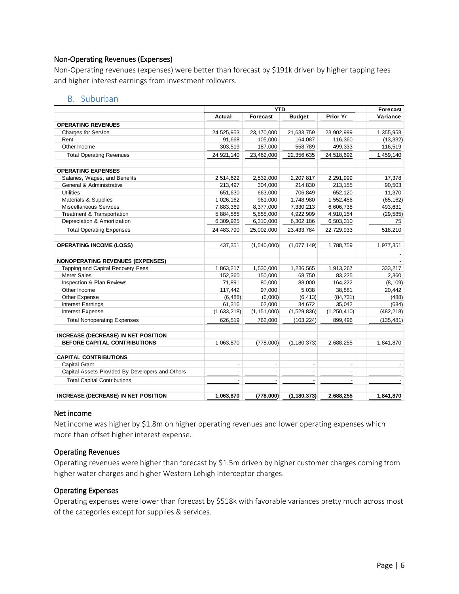#### Non-Operating Revenues (Expenses)

Non-Operating revenues (expenses) were better than forecast by \$191k driven by higher tapping fees and higher interest earnings from investment rollovers.

#### B. Suburban

|                                                  |             | <b>YTD</b>    |               |               | Forecast   |
|--------------------------------------------------|-------------|---------------|---------------|---------------|------------|
|                                                  | Actual      | Forecast      | <b>Budget</b> | Prior Yr      | Variance   |
| <b>OPERATING REVENUES</b>                        |             |               |               |               |            |
| <b>Charges for Service</b>                       | 24,525,953  | 23,170,000    | 21,633,759    | 23,902,999    | 1,355,953  |
| Rent                                             | 91,668      | 105,000       | 164,087       | 116,360       | (13, 332)  |
| Other Income                                     | 303,519     | 187,000       | 558,789       | 499,333       | 116,519    |
| <b>Total Operating Revenues</b>                  | 24,921,140  | 23,462,000    | 22,356,635    | 24,518,692    | 1,459,140  |
| <b>OPERATING EXPENSES</b>                        |             |               |               |               |            |
| Salaries, Wages, and Benefits                    | 2,514,622   | 2,532,000     | 2,207,817     | 2,291,999     | 17,378     |
| General & Administrative                         | 213,497     | 304,000       | 214,830       | 213,155       | 90,503     |
| <b>Utilities</b>                                 | 651,630     | 663,000       | 706,849       | 652,120       | 11,370     |
| Materials & Supplies                             | 1,026,162   | 961,000       | 1,748,980     | 1,552,456     | (65, 162)  |
| Miscellaneous Services                           | 7,883,369   | 8,377,000     | 7,330,213     | 6,606,738     | 493,631    |
| Treatment & Transportation                       | 5,884,585   | 5,855,000     | 4,922,909     | 4,910,154     | (29, 585)  |
| Depreciation & Amortization                      | 6,309,925   | 6,310,000     | 6,302,186     | 6,503,310     | 75         |
| <b>Total Operating Expenses</b>                  | 24,483,790  | 25,002,000    | 23,433,784    | 22,729,933    | 518,210    |
| <b>OPERATING INCOME (LOSS)</b>                   | 437,351     | (1,540,000)   | (1,077,149)   | 1,788,759     | 1,977,351  |
| <b>NONOPERATING REVENUES (EXPENSES)</b>          |             |               |               |               |            |
| Tapping and Capital Recovery Fees                | 1,863,217   | 1,530,000     | 1,236,565     | 1,913,267     | 333.217    |
| <b>Meter Sales</b>                               | 152,360     | 150,000       | 68,750        | 83,225        | 2,360      |
| Inspection & Plan Reviews                        | 71,891      | 80,000        | 88,000        | 164,222       | (8, 109)   |
| Other Income                                     | 117,442     | 97,000        | 5,038         | 38,881        | 20,442     |
| Other Expense                                    | (6, 488)    | (6,000)       | (6, 413)      | (84, 731)     | (488)      |
| <b>Interest Earnings</b>                         | 61,316      | 62,000        | 34,672        | 35,042        | (684)      |
| Interest Expense                                 | (1,633,218) | (1, 151, 000) | (1,529,836)   | (1, 250, 410) | (482, 218) |
| <b>Total Nonoperating Expenses</b>               | 626,519     | 762,000       | (103, 224)    | 899,496       | (135, 481) |
| INCREASE (DECREASE) IN NET POSITION              |             |               |               |               |            |
| BEFORE CAPITAL CONTRIBUTIONS                     | 1,063,870   | (778,000)     | (1, 180, 373) | 2,688,255     | 1,841,870  |
| <b>CAPITAL CONTRIBUTIONS</b>                     |             |               |               |               |            |
| Capital Grant                                    |             |               |               |               |            |
| Capital Assets Provided By Developers and Others |             |               |               |               |            |
| <b>Total Capital Contributions</b>               |             |               |               |               |            |
| <b>INCREASE (DECREASE) IN NET POSITION</b>       | 1,063,870   | (778,000)     | (1, 180, 373) | 2,688,255     | 1,841,870  |

#### Net income

Net income was higher by \$1.8m on higher operating revenues and lower operating expenses which more than offset higher interest expense.

#### Operating Revenues

Operating revenues were higher than forecast by \$1.5m driven by higher customer charges coming from higher water charges and higher Western Lehigh Interceptor charges.

#### Operating Expenses

Operating expenses were lower than forecast by \$518k with favorable variances pretty much across most of the categories except for supplies & services.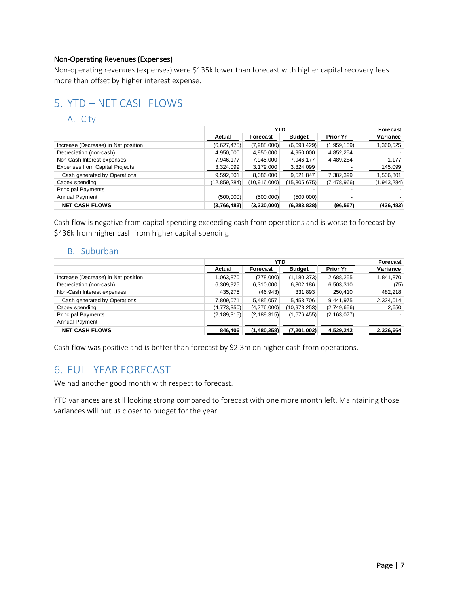#### Non-Operating Revenues (Expenses)

Non-operating revenues (expenses) were \$135k lower than forecast with higher capital recovery fees more than offset by higher interest expense.

# 5. YTD – NET CASH FLOWS

# A. City

|                                       | <b>YTD</b>   |              |               |                 | Forecast    |
|---------------------------------------|--------------|--------------|---------------|-----------------|-------------|
|                                       | Actual       | Forecast     | <b>Budget</b> | <b>Prior Yr</b> | Variance    |
| Increase (Decrease) in Net position   | (6,627,475)  | (7,988,000)  | (6,698,429)   | (1,959,139)     | 1,360,525   |
| Depreciation (non-cash)               | 4,950,000    | 4,950,000    | 4,950,000     | 4,852,254       |             |
| Non-Cash Interest expenses            | 7,946,177    | 7,945,000    | 7,946,177     | 4,489,284       | 1,177       |
| <b>Expenses from Capital Projects</b> | 3,324,099    | 3,179,000    | 3,324,099     |                 | 145,099     |
| Cash generated by Operations          | 9,592,801    | 8,086,000    | 9,521,847     | 7,382,399       | 1,506,801   |
| Capex spending                        | (12,859,284) | (10.916,000) | (15,305,675)  | (7,478,966)     | (1,943,284) |
| <b>Principal Payments</b>             |              |              |               |                 |             |
| Annual Payment                        | (500,000)    | (500,000)    | (500,000)     |                 |             |
| <b>NET CASH FLOWS</b>                 | (3,766,483)  | (3,330,000)  | (6, 283, 828) | (96, 567)       | (436, 483)  |

Cash flow is negative from capital spending exceeding cash from operations and is worse to forecast by \$436k from higher cash from higher capital spending

## B. Suburban

|                                     |               |               | Forecast       |                 |           |
|-------------------------------------|---------------|---------------|----------------|-----------------|-----------|
|                                     | Actual        | Forecast      | <b>Budget</b>  | <b>Prior Yr</b> | Variance  |
| Increase (Decrease) in Net position | 1,063,870     | (778,000)     | (1, 180, 373)  | 2,688,255       | 1,841,870 |
| Depreciation (non-cash)             | 6,309,925     | 6,310,000     | 6,302,186      | 6,503,310       | (75)      |
| Non-Cash Interest expenses          | 435,275       | (46, 943)     | 331,893        | 250,410         | 482,218   |
| Cash generated by Operations        | 7,809,071     | 5,485,057     | 5,453,706      | 9,441,975       | 2,324,014 |
| Capex spending                      | (4,773,350)   | (4,776,000)   | (10, 978, 253) | (2,749,656)     | 2,650     |
| <b>Principal Payments</b>           | (2, 189, 315) | (2, 189, 315) | (1,676,455)    | (2, 163, 077)   |           |
| Annual Payment                      |               |               |                |                 |           |
| <b>NET CASH FLOWS</b>               | 846,406       | (1,480,258)   | (7, 201, 002)  | 4,529,242       | 2,326,664 |

Cash flow was positive and is better than forecast by \$2.3m on higher cash from operations.

# 6. FULL YEAR FORECAST

We had another good month with respect to forecast.

YTD variances are still looking strong compared to forecast with one more month left. Maintaining those variances will put us closer to budget for the year.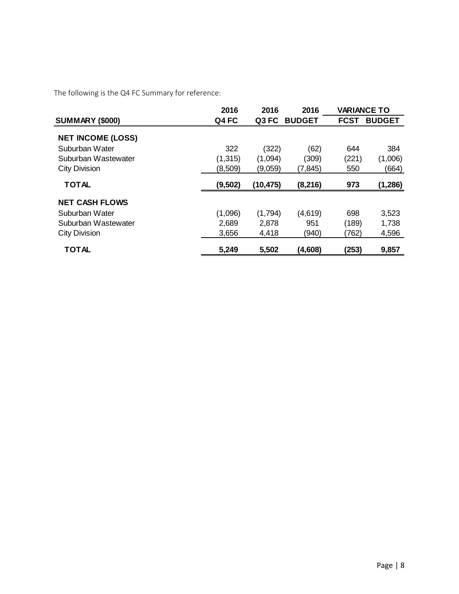The following is the Q4 FC Summary for reference:

|                          | 2016     | 2016      | 2016          |             | <b>VARIANCE TO</b> |
|--------------------------|----------|-----------|---------------|-------------|--------------------|
| <b>SUMMARY (\$000)</b>   | Q4 FC    | Q3 FC     | <b>BUDGET</b> | <b>FCST</b> | <b>BUDGET</b>      |
| <b>NET INCOME (LOSS)</b> |          |           |               |             |                    |
| Suburban Water           | 322      | (322)     | (62)          | 644         | 384                |
| Suburban Wastewater      | (1, 315) | (1,094)   | (309)         | (221)       | (1,006)            |
| <b>City Division</b>     | (8,509)  | (9,059)   | (7, 845)      | 550         | (664)              |
| <b>TOTAL</b>             | (9,502)  | (10, 475) | (8, 216)      | 973         | (1,286)            |
| <b>NET CASH FLOWS</b>    |          |           |               |             |                    |
| Suburban Water           | (1,096)  | (1,794)   | (4,619)       | 698         | 3,523              |
| Suburban Wastewater      | 2,689    | 2,878     | 951           | (189)       | 1,738              |
| <b>City Division</b>     | 3,656    | 4,418     | (940)         | (762)       | 4,596              |
| TOTAL                    | 5,249    | 5,502     | (4,608)       | (253)       | 9,857              |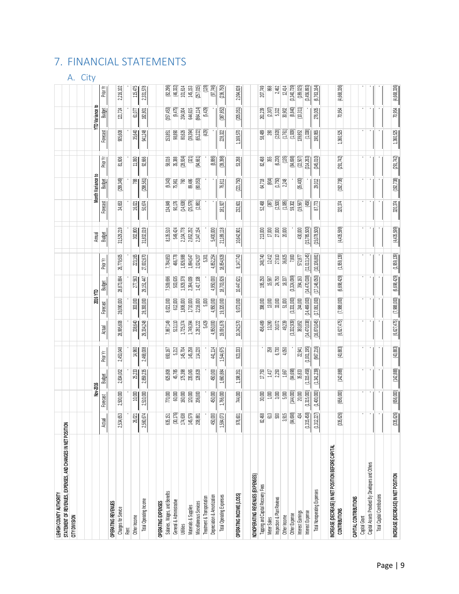# 7. FINANCIAL STATEMENTS

# A. City

| LEHIGH COUNTY AUTHORITY                                      |                         |             |             |                     |                |                |                |                |              |                       |                   |            |           |                 |             |
|--------------------------------------------------------------|-------------------------|-------------|-------------|---------------------|----------------|----------------|----------------|----------------|--------------|-----------------------|-------------------|------------|-----------|-----------------|-------------|
| STATEMENT OF REVENUES, EXPENSES, AND CHANGES IN NET POSITION |                         |             |             |                     |                |                |                |                |              |                       |                   |            |           |                 |             |
| CITY DIVISION                                                |                         |             |             |                     |                |                |                |                |              |                       |                   |            |           |                 |             |
|                                                              |                         |             |             |                     |                |                |                |                |              |                       |                   |            |           |                 |             |
|                                                              |                         | Nov-2016    |             |                     |                | 2016 YTD       |                |                | Annual       |                       | Month Variance    |            |           | YTD Variance to |             |
|                                                              | Actual                  | Forecast    | Budget      | Prior Yr            | Actual         | Forecast       | <b>Budget</b>  | Prior Yr       | Budget       | Forecast              | <b>Budget</b>     | Prior Yr   | Forecast  | Budget          | Prior Yr    |
| OPERATING REVENUES                                           |                         |             |             |                     |                |                |                |                |              |                       |                   |            |           |                 |             |
| Charges for Service                                          | යි<br>2,534             | 2,500,000   | 2,834,002   | 2,453,048           | 28,995,608     | 28,090,000     | 28,873,884     | 26,779,505     | 31,529,219   | 34,653                | (299, 349)        | 81,606     | 905,608   | 121,724         | 2,216,102   |
| Rent                                                         |                         |             |             |                     |                |                |                |                |              |                       |                   |            |           |                 |             |
| Other Income                                                 | S.<br>ಸ                 | 10,000      | 25,233      | 14,960              | 338,640        | $303,000$      | 277,563        | 223,165        | 302,800      | 16,021                | 788               | 11,060     | 35,640    | 61,077          | 115,475     |
| Total Operating Income                                       | 0,674<br>2,560          | 2,510,000   | 2,859,235   | 2,468,008           | 29,334,248     | 28,393,000     | 29,151,447     | 27,002,670     | 31,832,019   | 50,674                | (298, 561)        | 92,666     | 941,248   | 182,801         | 2,331,578   |
| OPERATING EXPENSES                                           |                         |             |             |                     |                |                |                |                |              |                       |                   |            |           |                 |             |
| Salaries, Wages, and Benefits                                | 151<br>සි               | 770,000     | 625,808     | 693,167             | 7,867,149      | 8,021,000      | 7,509,696      | 7,784,853      | 8,135,510    | 134,849               |                   | 58,016     | 53,851    | (357, 453)      | (82,296)    |
| General & Administrative                                     | 176)                    | 60,000      | 45,785      | 5,212               | 513,110        | 612,000        | 503,635        | 466,778        | 549,424      | 90,176                | (9,343)<br>75,961 | 35,388     | 98,890    | (9, 475)        | (46,332)    |
| Utilities                                                    | 용복                      | 160,000     | 175,398     | 145,704             | 1,725,374      | 1,806,000      | 1,929,378      | 1,826,988      | 2,104,778    | (14, 638)             | 760               | (28, 934)  | 80,626    | 204,004         | 101,614     |
| Materials & Supplies                                         | ខ្លី ន្ត្រី ន្ទ         | 120,000     | 235,065     | 145,258             | 1,749,394      | 1,710,000      | 2,394,009      | 1,894,547      | 2,652,252    | (25,579)              | 89,486            | $(321)$    | (39,394)  | 644,615         | 145,153     |
| Miscellaneous Services                                       |                         | 206,000     | 128,828     | 114,220             | 2,281,222      | 2,216,000      | 1,417,108      | 2,024,207      | 2,347,154    | (2, 881)              | 80,053)           | (94,661)   | (65,222)  | (864,114)       | (257,015)   |
| Treatment & Transportation                                   |                         |             |             |                     | 5,429          | 5.000          |                | 5.301          |              |                       |                   |            | (429)     | (5, 429)        | (128)       |
| Depreciation & Amortization                                  | $\approx$<br>5          | 450,000     | 450,000     | 441,114             | 4,950,000      | 4,950,000      | 4,950,000      | 4,852,254      | 5,400,000    |                       |                   | (8, 886)   |           |                 | (97,746)    |
| Total Operating Expenses                                     | $\mathbb{E}$<br>1,584   | 1,766,000   | 1,660,884   | 1,544,675           | 19,091,678     | 19,320,000     | 18,703,826     | 18,854,928     | 21,189,118   | 181,927               | 76,811            | (39,398)   | 228,322   | (387, 852)      | (236, 750)  |
|                                                              |                         |             |             |                     |                |                |                |                |              |                       |                   |            |           |                 |             |
| OPERATING INCOME (LOSS)                                      | <b>SO</b><br>S          | 744,000     | 1,198,351   | 923,333             | 10,242,570     | 9,073,000      | 10,447,621     | 8,147,743      | 10,642,901   | 232,601               | (221, 750)        | 53,268     | 1,169,570 | (205, 051)      | 2,094,828   |
| NONOPERATING REVENUES (EXPENSES)                             |                         |             |             |                     |                |                |                |                |              |                       |                   |            |           |                 |             |
| Tapping and Capital Recovery Fees                            | \$<br>జ                 | 30,000      | 17,750      |                     | 456,489        | 398,000        | 195,250        | 248,740        | 213,000      | 52,468                | 64,718            | 82,468     | 58,489    | 261,239         | 207,749     |
| Meter Sales                                                  | $613$                   | 1,000       | 1,417       |                     | 13,280         | 13,000         | 15,587         | 12,412         | 17,000       | (387)                 | $\bigotimes$      | 355        | 280       | (2,307)         | 88          |
| Inspection & Plan Reviews                                    | $\mathbb S$             | 3,000       | 2,250       | <b>258</b><br>6,730 | 30,072         | $33,\!000$     | 24,750         | 27,610         | 27,000       | $\left( 2,500\right)$ | (1,750)           | (6,230)    | (2,928)   | 5,322           | 2,462       |
| Other Income                                                 | \$15                    | 5,000       | 1,667       | 4,050               | 49,239         | 51,000         | 18,337         | 36,825         | 20,000       | (1,085)               | 2,248             | (135)      | (1,761)   | 30,902          | 12,414      |
| Other Expense                                                | 698<br>ॾ                | (144,000)   | (84, 698)   |                     | (3,332,939)    | (3, 331, 000)  | (3,324,099)    | 7,800          |              | 59,302                |                   | (84,698)   | (1, 939)  | (8, 840)        | (3,340,739) |
| Interest Earnings                                            | $\ddot{3}$              | 20,000      | 35,833      | 22,941              | 383,852        | 244,000        | 394,163        | 572,877        | 430,000      | (19,567)              | (35, 400)         | (22,507)   | 139,852   | (10,311)        | (189,025)   |
| Interest Expense                                             | (458)<br>(1,315,        | (1,315,000) | (1,315,458) | (1,001,195)         | (14,470,038)   | (14, 469, 000) | (14, 470, 038) | (11,013,145)   | (15,785,500) | (458)                 |                   | (314,263)  | (1,038)   |                 | (3,456,893) |
| Total Nonoperating Expenses                                  | 27)<br>(1,312)          | (1,400,000) | (1,341,239) | (967,216)           | (16, 870, 045) | (17,061,000)   | (17, 146, 050) | (10, 106, 881) | (15,078,500) | 87,773                | 29,012            | (345,010)  | 190,955   | 276,005         | (6,763,164) |
| INCREASE (DECREASE) IN NET POSITION BEFORE CAPITAL           |                         |             |             |                     |                |                |                |                |              |                       |                   |            |           |                 |             |
| <b>CONTRIBUTIONS</b>                                         | 626)<br>335             | (656,000)   | (142, 888)  | (43,883)            | (6,627,475)    | (7,988,000)    | (6,698,429)    | (1,959,139)    | (4,435,599)  | 320,374               | (192, 738)        | (291, 742) | 1,360,525 | 70,954          | (4,668,336) |
| CAPITAL CONTRIBUTIONS                                        |                         |             |             |                     |                |                |                |                |              |                       |                   |            |           |                 |             |
| Capital Grant                                                |                         |             |             |                     |                |                |                |                |              |                       |                   |            |           |                 |             |
| Capital Assets Provided By Developers and Others             |                         |             |             |                     |                |                |                |                |              |                       |                   |            |           |                 |             |
| <b>Total Capital Contributions</b>                           |                         |             |             |                     |                |                |                |                |              |                       |                   |            |           |                 |             |
|                                                              |                         |             |             |                     |                |                |                |                |              |                       |                   |            |           |                 |             |
| INCREASE (DECREASE) IN NET POSITION                          | 5,626)<br>$\frac{3}{2}$ | (656,000)   | (142, 888)  | (43, 883)           | (6,627,475)    | (7, 988, 000)  | (6,698,429)    | (1,959,139)    | (4,435,599)  | 320,374               | (192, 738)        | (291, 742) | 1,360,525 | 70,954          | (4,668,336) |